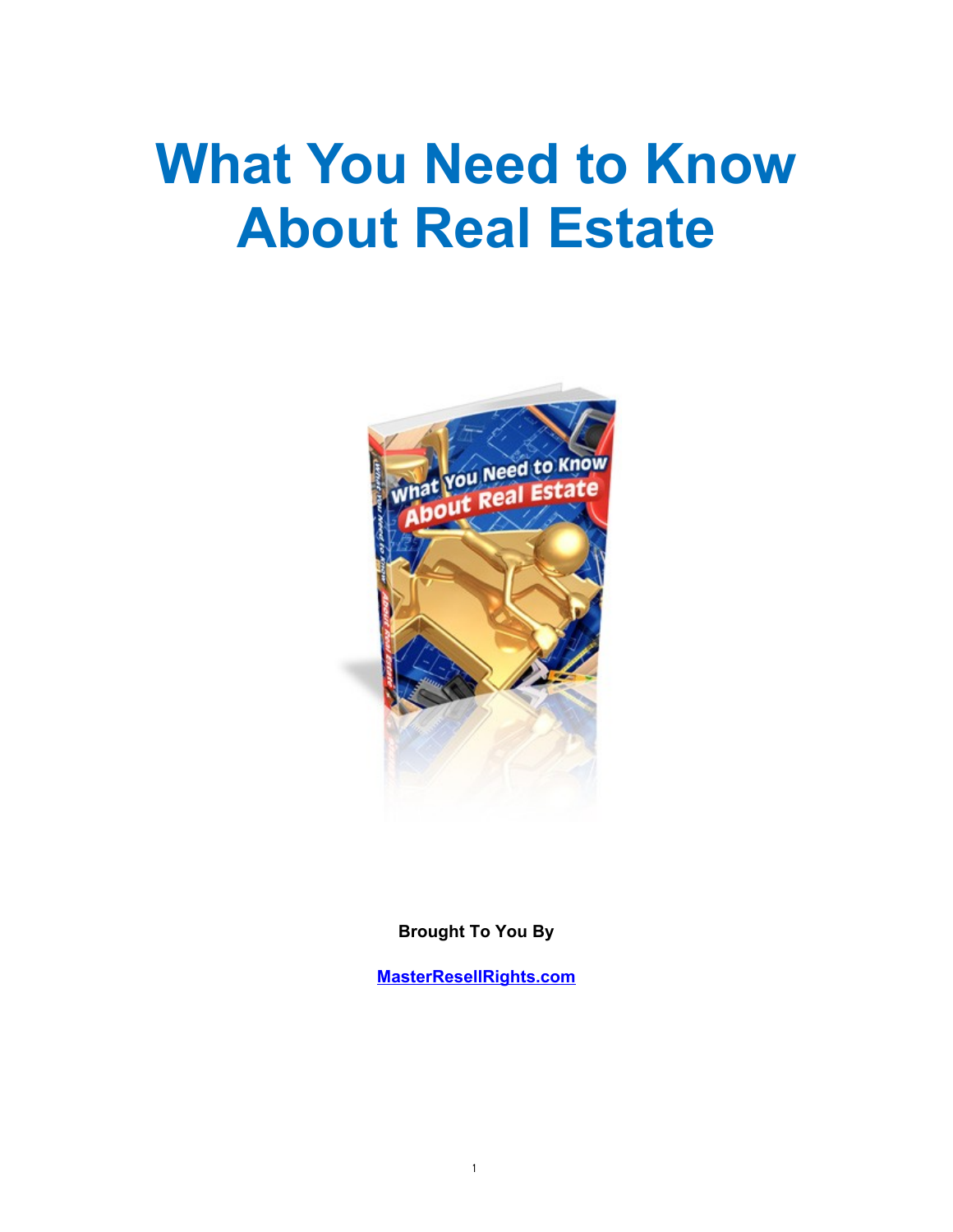# **What You Need to Know About Real Estate**



**Brought To You By**

**[MasterResellRights.com](http://www.masterresellrights.com/)**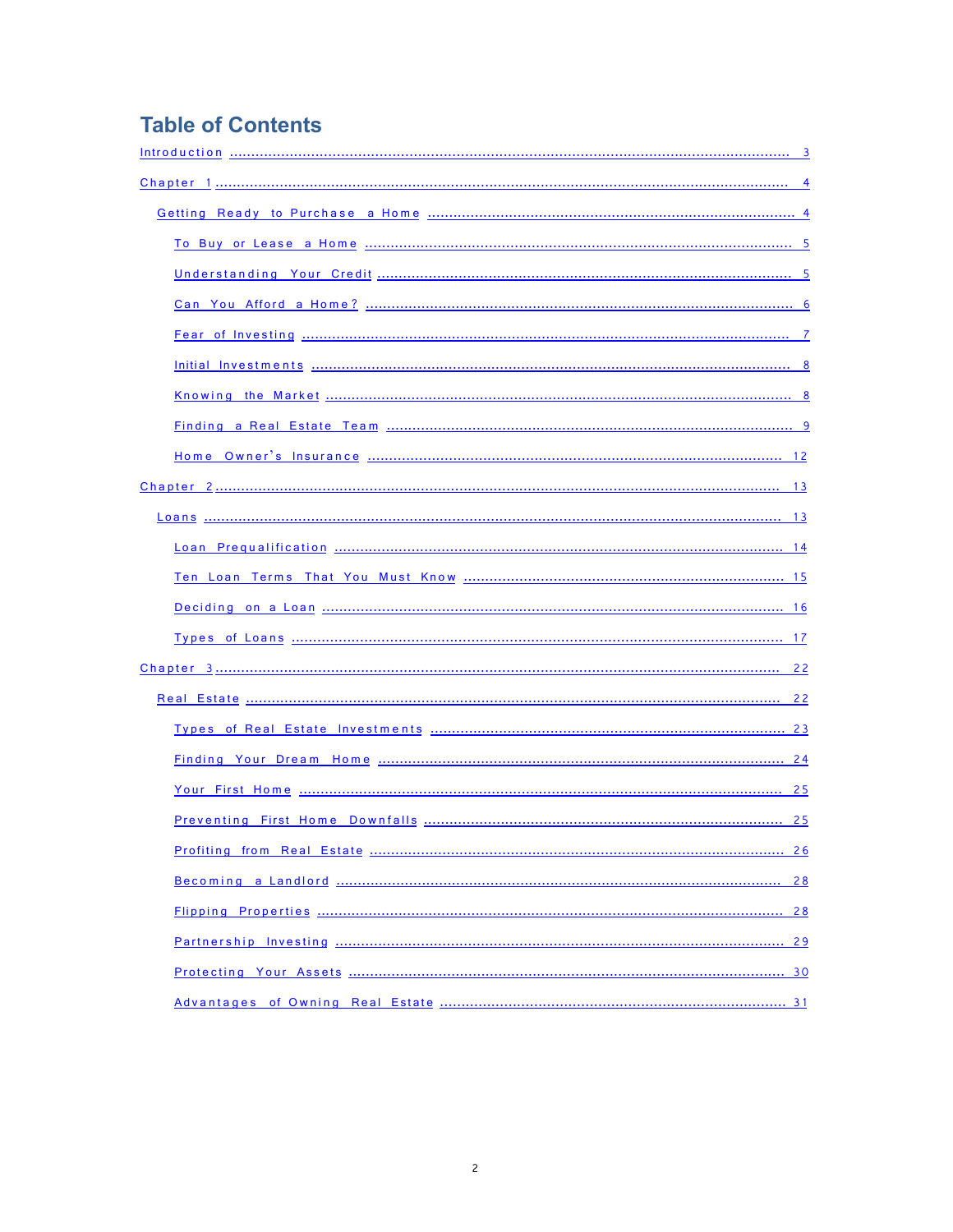# **Table of Contents**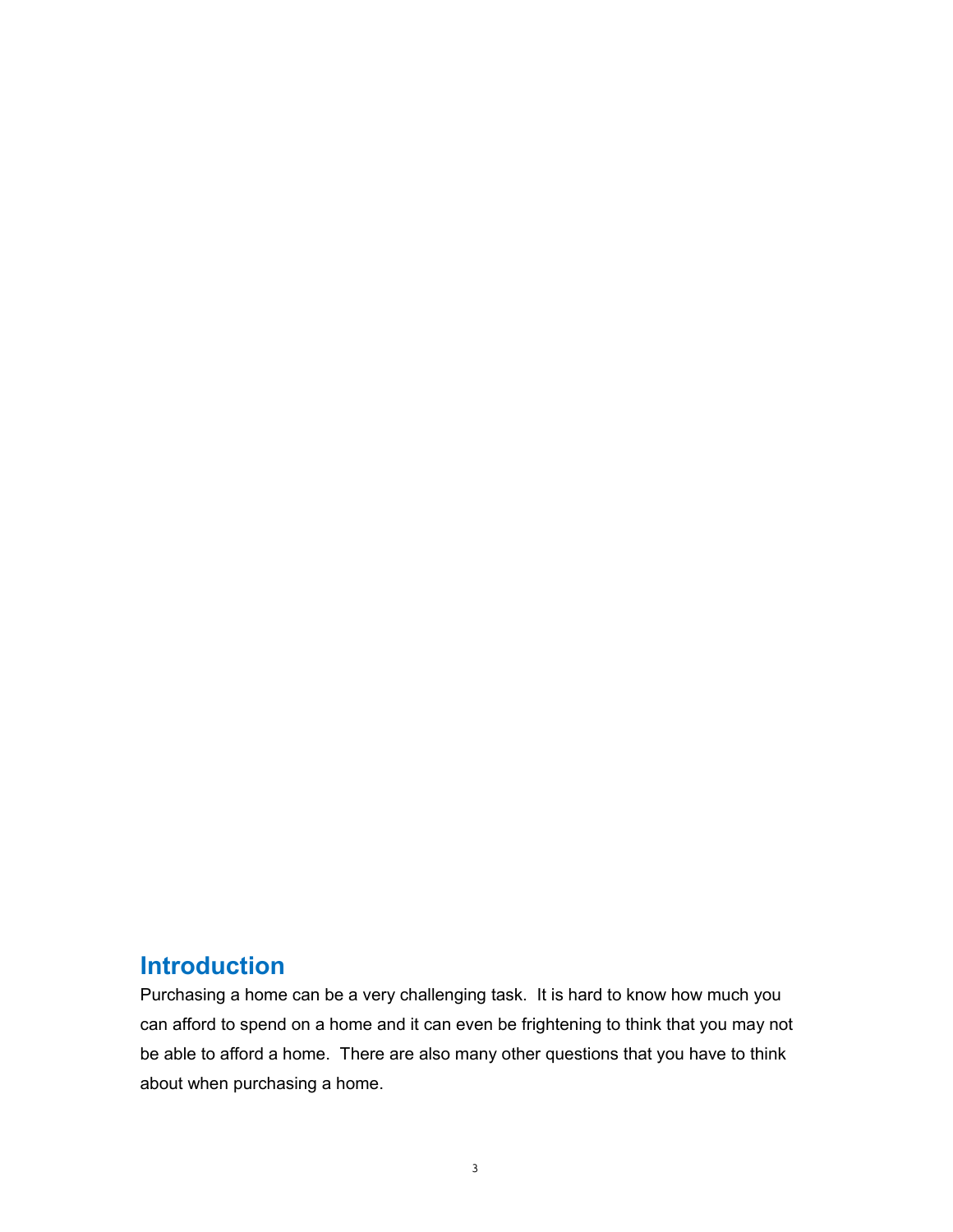# <span id="page-2-0"></span>**Introduction**

Purchasing a home can be a very challenging task. It is hard to know how much you can afford to spend on a home and it can even be frightening to think that you may not be able to afford a home. There are also many other questions that you have to think about when purchasing a home.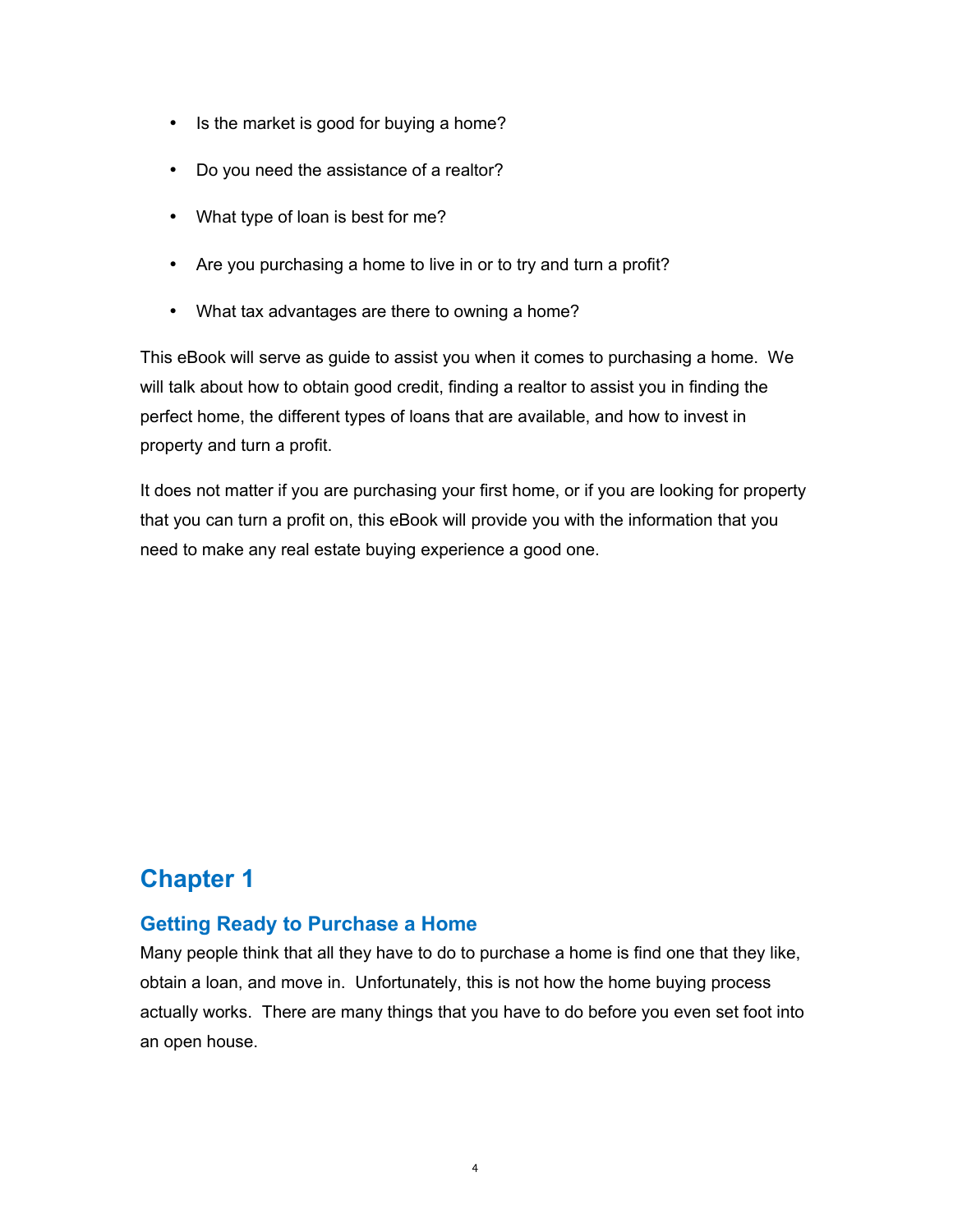- Is the market is good for buying a home?
- Do you need the assistance of a realtor?
- What type of loan is best for me?
- Are you purchasing a home to live in or to try and turn a profit?
- What tax advantages are there to owning a home?

This eBook will serve as guide to assist you when it comes to purchasing a home. We will talk about how to obtain good credit, finding a realtor to assist you in finding the perfect home, the different types of loans that are available, and how to invest in property and turn a profit.

It does not matter if you are purchasing your first home, or if you are looking for property that you can turn a profit on, this eBook will provide you with the information that you need to make any real estate buying experience a good one.

# <span id="page-3-1"></span>**Chapter 1**

# <span id="page-3-0"></span>**Getting Ready to Purchase a Home**

Many people think that all they have to do to purchase a home is find one that they like, obtain a loan, and move in. Unfortunately, this is not how the home buying process actually works. There are many things that you have to do before you even set foot into an open house.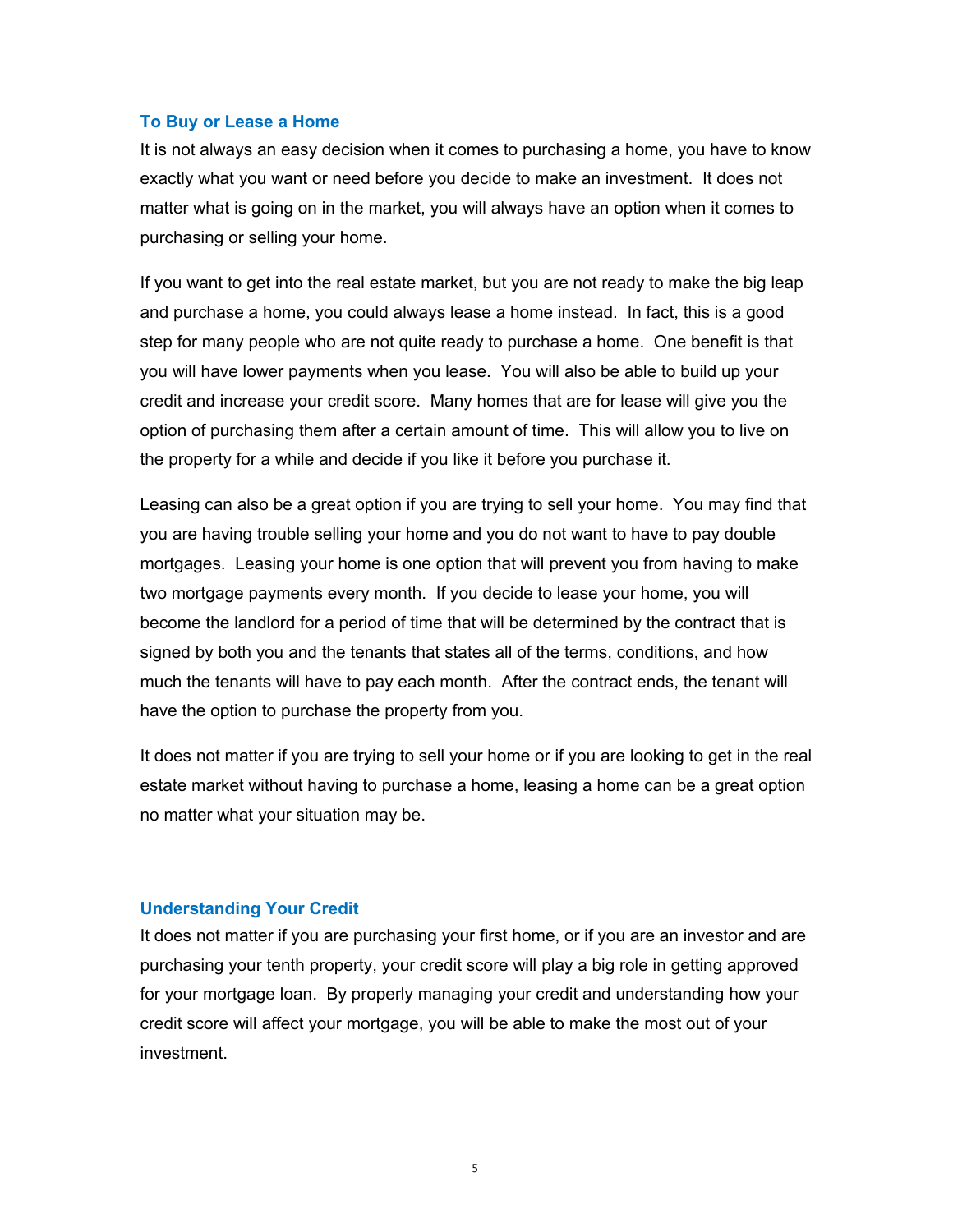#### <span id="page-4-1"></span>**To Buy or Lease a Home**

It is not always an easy decision when it comes to purchasing a home, you have to know exactly what you want or need before you decide to make an investment. It does not matter what is going on in the market, you will always have an option when it comes to purchasing or selling your home.

If you want to get into the real estate market, but you are not ready to make the big leap and purchase a home, you could always lease a home instead. In fact, this is a good step for many people who are not quite ready to purchase a home. One benefit is that you will have lower payments when you lease. You will also be able to build up your credit and increase your credit score. Many homes that are for lease will give you the option of purchasing them after a certain amount of time. This will allow you to live on the property for a while and decide if you like it before you purchase it.

Leasing can also be a great option if you are trying to sell your home. You may find that you are having trouble selling your home and you do not want to have to pay double mortgages. Leasing your home is one option that will prevent you from having to make two mortgage payments every month. If you decide to lease your home, you will become the landlord for a period of time that will be determined by the contract that is signed by both you and the tenants that states all of the terms, conditions, and how much the tenants will have to pay each month. After the contract ends, the tenant will have the option to purchase the property from you.

It does not matter if you are trying to sell your home or if you are looking to get in the real estate market without having to purchase a home, leasing a home can be a great option no matter what your situation may be.

#### <span id="page-4-0"></span>**Understanding Your Credit**

It does not matter if you are purchasing your first home, or if you are an investor and are purchasing your tenth property, your credit score will play a big role in getting approved for your mortgage loan. By properly managing your credit and understanding how your credit score will affect your mortgage, you will be able to make the most out of your investment.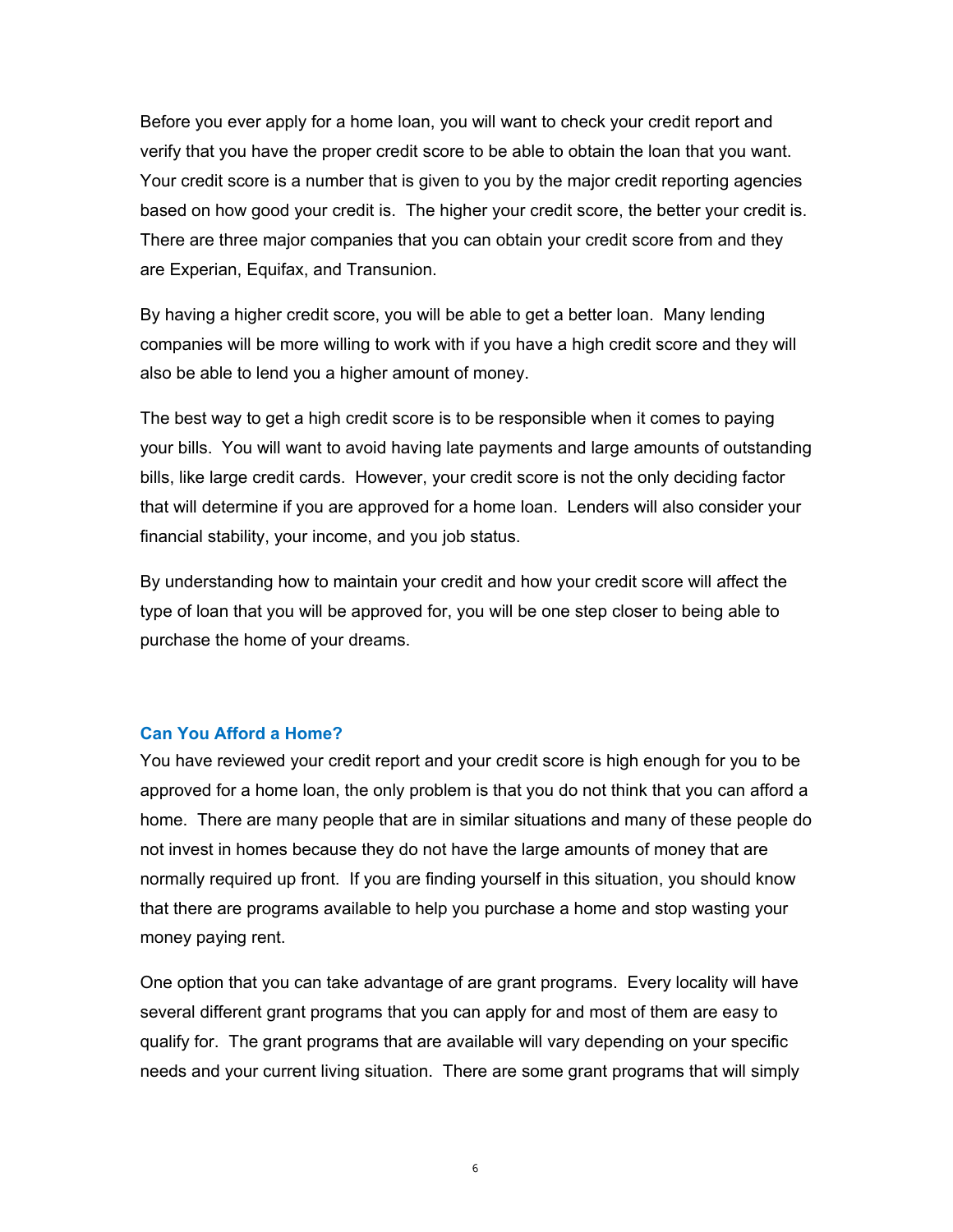Before you ever apply for a home loan, you will want to check your credit report and verify that you have the proper credit score to be able to obtain the loan that you want. Your credit score is a number that is given to you by the major credit reporting agencies based on how good your credit is. The higher your credit score, the better your credit is. There are three major companies that you can obtain your credit score from and they are Experian, Equifax, and Transunion.

By having a higher credit score, you will be able to get a better loan. Many lending companies will be more willing to work with if you have a high credit score and they will also be able to lend you a higher amount of money.

The best way to get a high credit score is to be responsible when it comes to paying your bills. You will want to avoid having late payments and large amounts of outstanding bills, like large credit cards. However, your credit score is not the only deciding factor that will determine if you are approved for a home loan. Lenders will also consider your financial stability, your income, and you job status.

By understanding how to maintain your credit and how your credit score will affect the type of loan that you will be approved for, you will be one step closer to being able to purchase the home of your dreams.

#### <span id="page-5-0"></span>**Can You Afford a Home?**

You have reviewed your credit report and your credit score is high enough for you to be approved for a home loan, the only problem is that you do not think that you can afford a home. There are many people that are in similar situations and many of these people do not invest in homes because they do not have the large amounts of money that are normally required up front. If you are finding yourself in this situation, you should know that there are programs available to help you purchase a home and stop wasting your money paying rent.

One option that you can take advantage of are grant programs. Every locality will have several different grant programs that you can apply for and most of them are easy to qualify for. The grant programs that are available will vary depending on your specific needs and your current living situation. There are some grant programs that will simply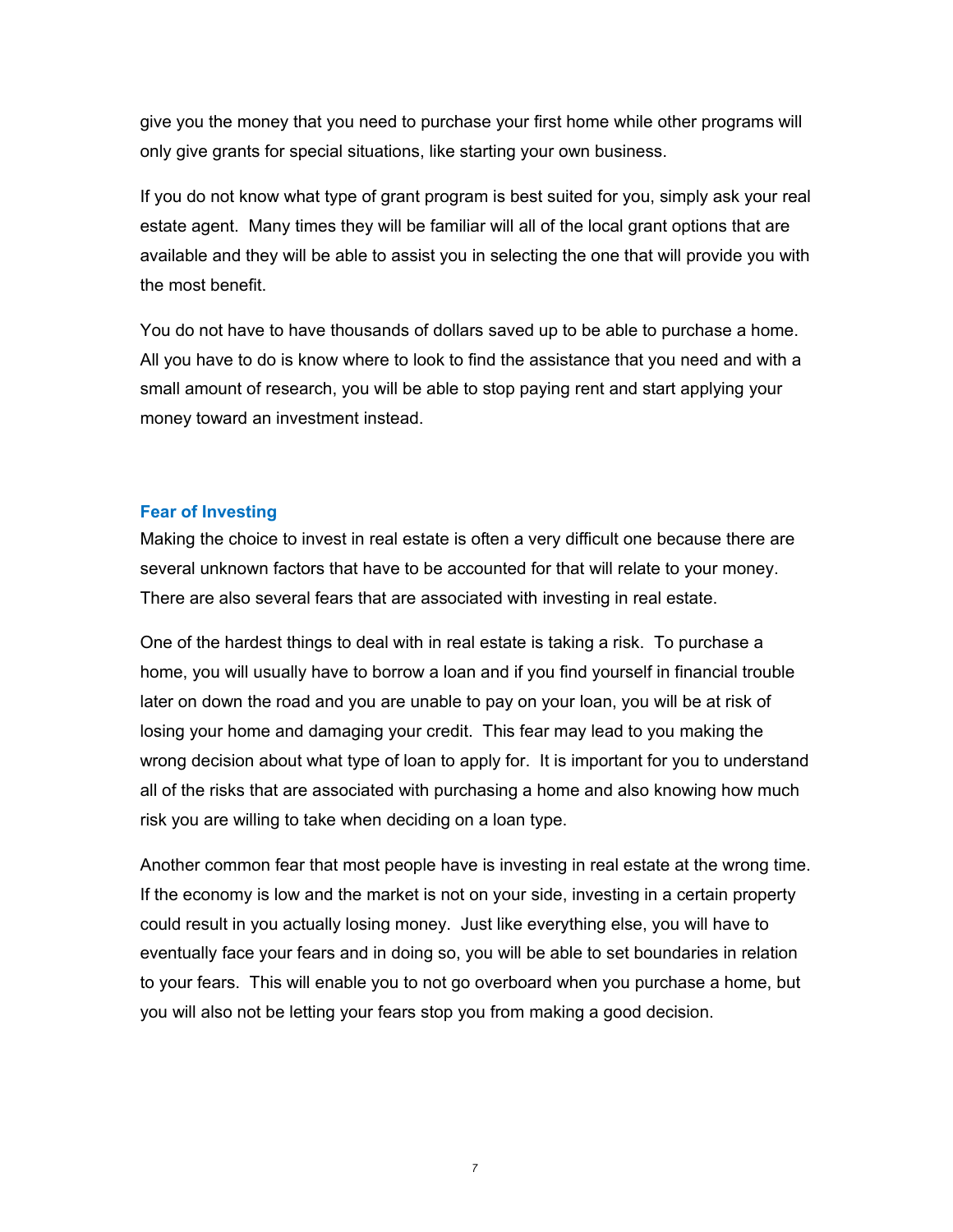give you the money that you need to purchase your first home while other programs will only give grants for special situations, like starting your own business.

If you do not know what type of grant program is best suited for you, simply ask your real estate agent. Many times they will be familiar will all of the local grant options that are available and they will be able to assist you in selecting the one that will provide you with the most benefit.

You do not have to have thousands of dollars saved up to be able to purchase a home. All you have to do is know where to look to find the assistance that you need and with a small amount of research, you will be able to stop paying rent and start applying your money toward an investment instead.

#### <span id="page-6-0"></span>**Fear of Investing**

Making the choice to invest in real estate is often a very difficult one because there are several unknown factors that have to be accounted for that will relate to your money. There are also several fears that are associated with investing in real estate.

One of the hardest things to deal with in real estate is taking a risk. To purchase a home, you will usually have to borrow a loan and if you find yourself in financial trouble later on down the road and you are unable to pay on your loan, you will be at risk of losing your home and damaging your credit. This fear may lead to you making the wrong decision about what type of loan to apply for. It is important for you to understand all of the risks that are associated with purchasing a home and also knowing how much risk you are willing to take when deciding on a loan type.

Another common fear that most people have is investing in real estate at the wrong time. If the economy is low and the market is not on your side, investing in a certain property could result in you actually losing money. Just like everything else, you will have to eventually face your fears and in doing so, you will be able to set boundaries in relation to your fears. This will enable you to not go overboard when you purchase a home, but you will also not be letting your fears stop you from making a good decision.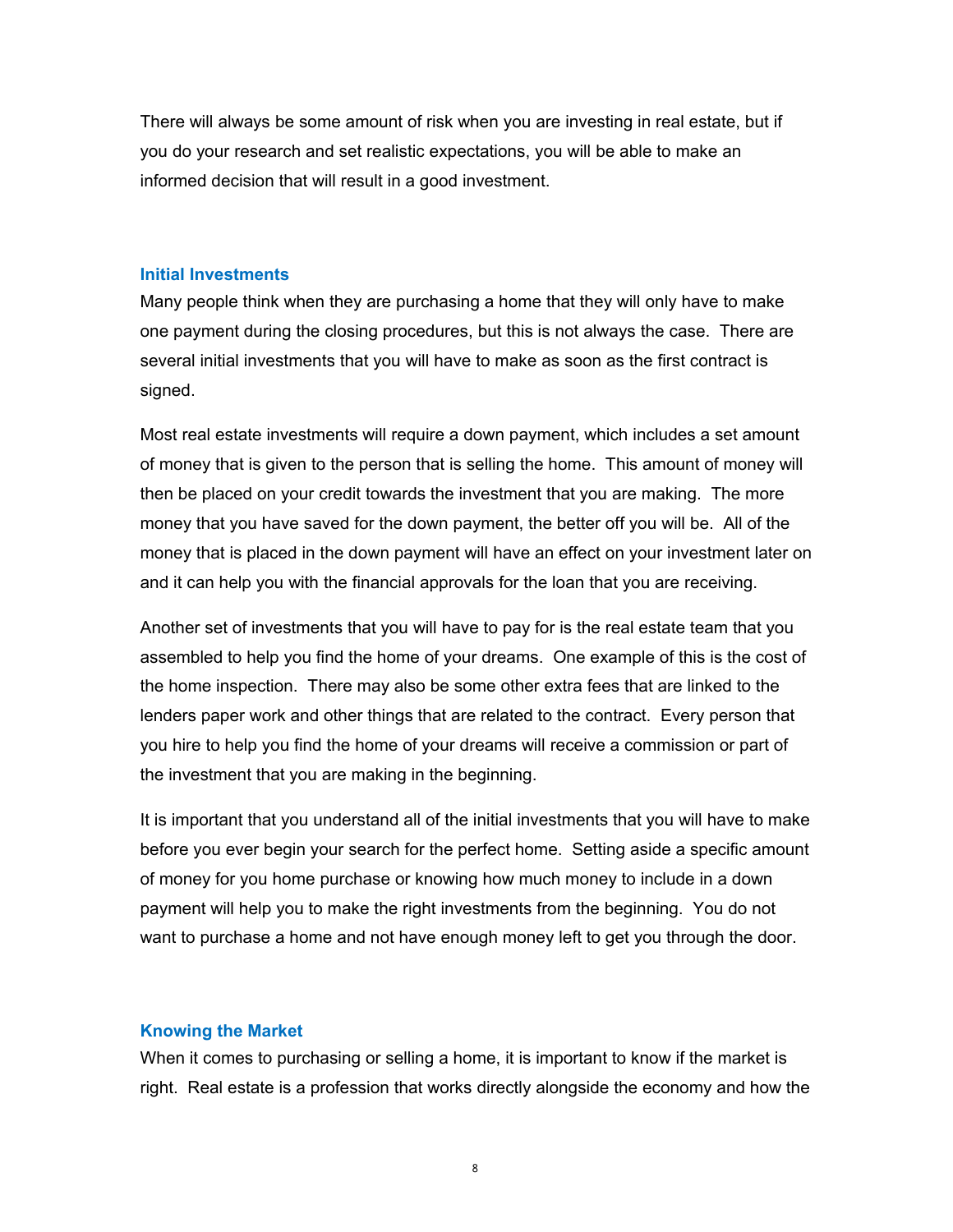There will always be some amount of risk when you are investing in real estate, but if you do your research and set realistic expectations, you will be able to make an informed decision that will result in a good investment.

#### <span id="page-7-1"></span>**Initial Investments**

Many people think when they are purchasing a home that they will only have to make one payment during the closing procedures, but this is not always the case. There are several initial investments that you will have to make as soon as the first contract is signed.

Most real estate investments will require a down payment, which includes a set amount of money that is given to the person that is selling the home. This amount of money will then be placed on your credit towards the investment that you are making. The more money that you have saved for the down payment, the better off you will be. All of the money that is placed in the down payment will have an effect on your investment later on and it can help you with the financial approvals for the loan that you are receiving.

Another set of investments that you will have to pay for is the real estate team that you assembled to help you find the home of your dreams. One example of this is the cost of the home inspection. There may also be some other extra fees that are linked to the lenders paper work and other things that are related to the contract. Every person that you hire to help you find the home of your dreams will receive a commission or part of the investment that you are making in the beginning.

It is important that you understand all of the initial investments that you will have to make before you ever begin your search for the perfect home. Setting aside a specific amount of money for you home purchase or knowing how much money to include in a down payment will help you to make the right investments from the beginning. You do not want to purchase a home and not have enough money left to get you through the door.

#### <span id="page-7-0"></span>**Knowing the Market**

When it comes to purchasing or selling a home, it is important to know if the market is right. Real estate is a profession that works directly alongside the economy and how the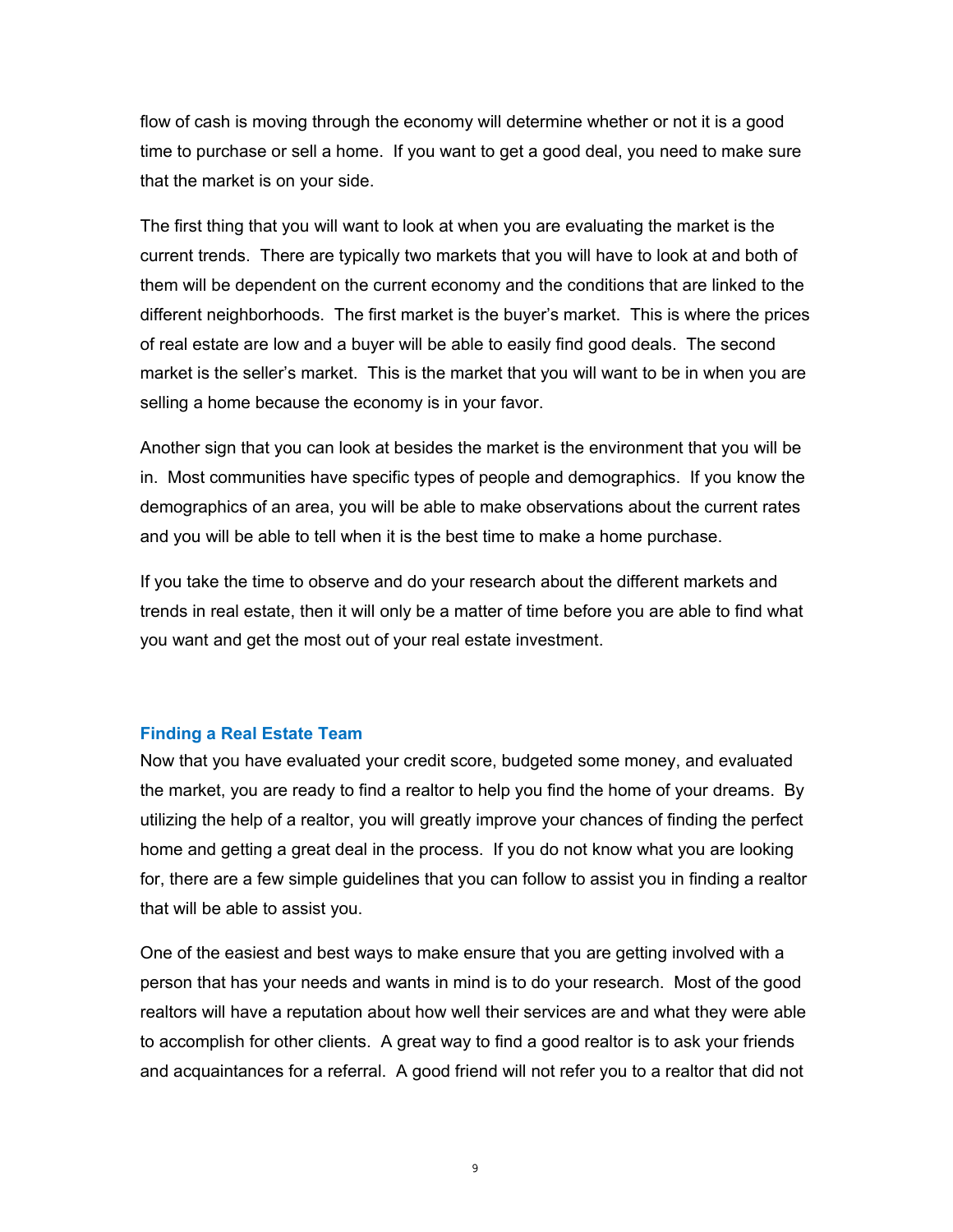flow of cash is moving through the economy will determine whether or not it is a good time to purchase or sell a home. If you want to get a good deal, you need to make sure that the market is on your side.

The first thing that you will want to look at when you are evaluating the market is the current trends. There are typically two markets that you will have to look at and both of them will be dependent on the current economy and the conditions that are linked to the different neighborhoods. The first market is the buyer's market. This is where the prices of real estate are low and a buyer will be able to easily find good deals. The second market is the seller's market. This is the market that you will want to be in when you are selling a home because the economy is in your favor.

Another sign that you can look at besides the market is the environment that you will be in. Most communities have specific types of people and demographics. If you know the demographics of an area, you will be able to make observations about the current rates and you will be able to tell when it is the best time to make a home purchase.

If you take the time to observe and do your research about the different markets and trends in real estate, then it will only be a matter of time before you are able to find what you want and get the most out of your real estate investment.

#### <span id="page-8-0"></span>**Finding a Real Estate Team**

Now that you have evaluated your credit score, budgeted some money, and evaluated the market, you are ready to find a realtor to help you find the home of your dreams. By utilizing the help of a realtor, you will greatly improve your chances of finding the perfect home and getting a great deal in the process. If you do not know what you are looking for, there are a few simple guidelines that you can follow to assist you in finding a realtor that will be able to assist you.

One of the easiest and best ways to make ensure that you are getting involved with a person that has your needs and wants in mind is to do your research. Most of the good realtors will have a reputation about how well their services are and what they were able to accomplish for other clients. A great way to find a good realtor is to ask your friends and acquaintances for a referral. A good friend will not refer you to a realtor that did not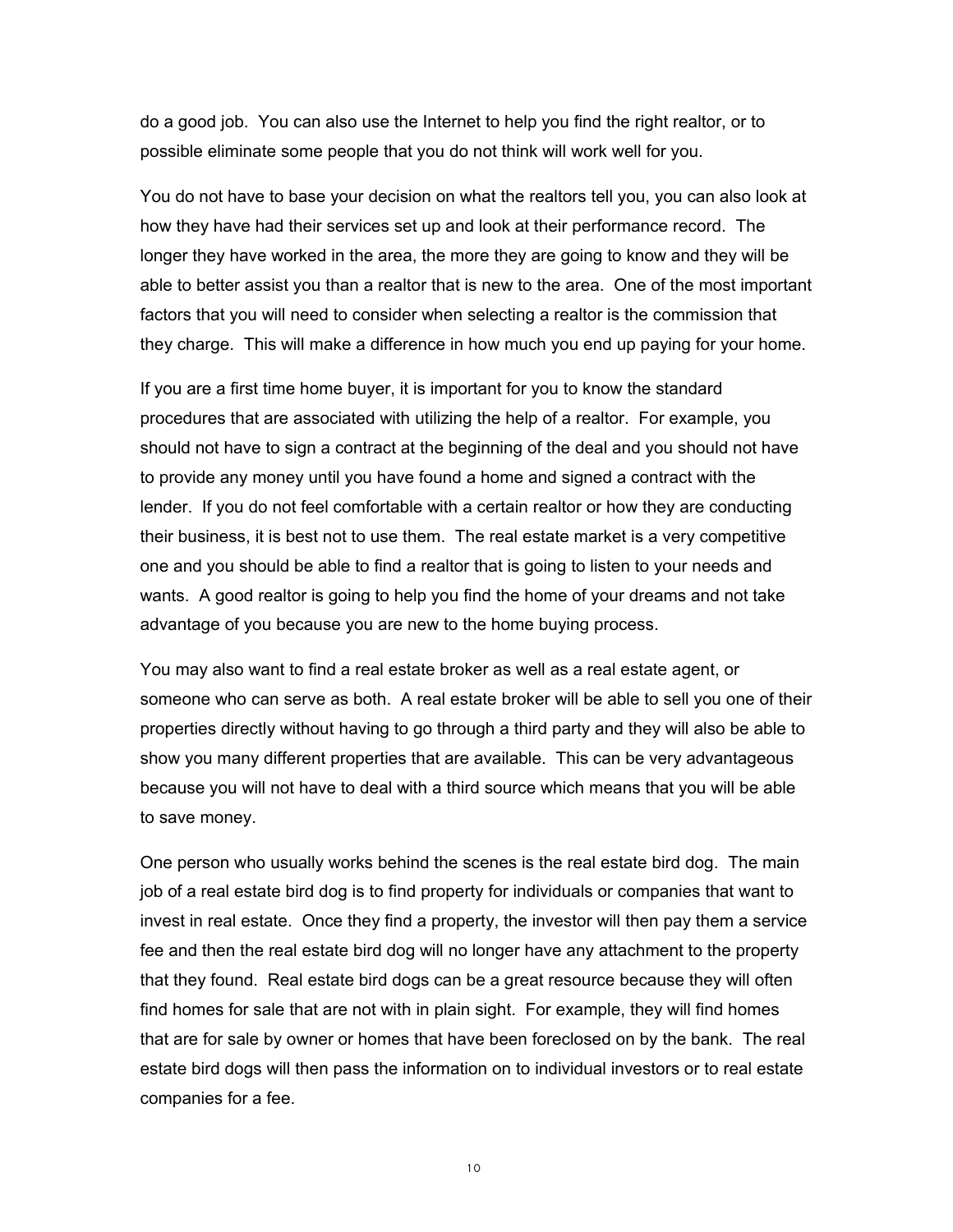do a good job. You can also use the Internet to help you find the right realtor, or to possible eliminate some people that you do not think will work well for you.

You do not have to base your decision on what the realtors tell you, you can also look at how they have had their services set up and look at their performance record. The longer they have worked in the area, the more they are going to know and they will be able to better assist you than a realtor that is new to the area. One of the most important factors that you will need to consider when selecting a realtor is the commission that they charge. This will make a difference in how much you end up paying for your home.

If you are a first time home buyer, it is important for you to know the standard procedures that are associated with utilizing the help of a realtor. For example, you should not have to sign a contract at the beginning of the deal and you should not have to provide any money until you have found a home and signed a contract with the lender. If you do not feel comfortable with a certain realtor or how they are conducting their business, it is best not to use them. The real estate market is a very competitive one and you should be able to find a realtor that is going to listen to your needs and wants. A good realtor is going to help you find the home of your dreams and not take advantage of you because you are new to the home buying process.

You may also want to find a real estate broker as well as a real estate agent, or someone who can serve as both. A real estate broker will be able to sell you one of their properties directly without having to go through a third party and they will also be able to show you many different properties that are available. This can be very advantageous because you will not have to deal with a third source which means that you will be able to save money.

One person who usually works behind the scenes is the real estate bird dog. The main job of a real estate bird dog is to find property for individuals or companies that want to invest in real estate. Once they find a property, the investor will then pay them a service fee and then the real estate bird dog will no longer have any attachment to the property that they found. Real estate bird dogs can be a great resource because they will often find homes for sale that are not with in plain sight. For example, they will find homes that are for sale by owner or homes that have been foreclosed on by the bank. The real estate bird dogs will then pass the information on to individual investors or to real estate companies for a fee.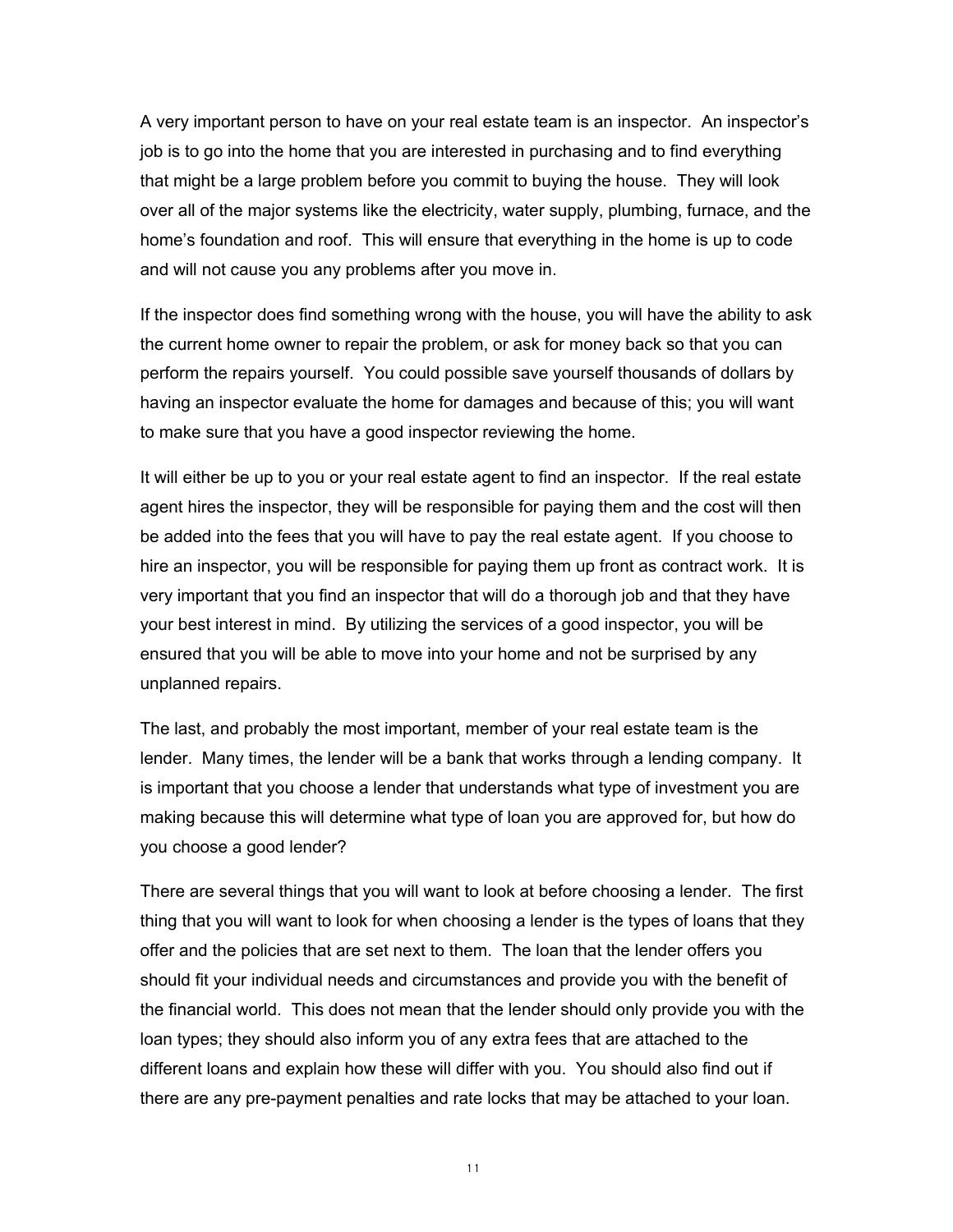A very important person to have on your real estate team is an inspector. An inspector's job is to go into the home that you are interested in purchasing and to find everything that might be a large problem before you commit to buying the house. They will look over all of the major systems like the electricity, water supply, plumbing, furnace, and the home's foundation and roof. This will ensure that everything in the home is up to code and will not cause you any problems after you move in.

If the inspector does find something wrong with the house, you will have the ability to ask the current home owner to repair the problem, or ask for money back so that you can perform the repairs yourself. You could possible save yourself thousands of dollars by having an inspector evaluate the home for damages and because of this; you will want to make sure that you have a good inspector reviewing the home.

It will either be up to you or your real estate agent to find an inspector. If the real estate agent hires the inspector, they will be responsible for paying them and the cost will then be added into the fees that you will have to pay the real estate agent. If you choose to hire an inspector, you will be responsible for paying them up front as contract work. It is very important that you find an inspector that will do a thorough job and that they have your best interest in mind. By utilizing the services of a good inspector, you will be ensured that you will be able to move into your home and not be surprised by any unplanned repairs.

The last, and probably the most important, member of your real estate team is the lender. Many times, the lender will be a bank that works through a lending company. It is important that you choose a lender that understands what type of investment you are making because this will determine what type of loan you are approved for, but how do you choose a good lender?

There are several things that you will want to look at before choosing a lender. The first thing that you will want to look for when choosing a lender is the types of loans that they offer and the policies that are set next to them. The loan that the lender offers you should fit your individual needs and circumstances and provide you with the benefit of the financial world. This does not mean that the lender should only provide you with the loan types; they should also inform you of any extra fees that are attached to the different loans and explain how these will differ with you. You should also find out if there are any pre-payment penalties and rate locks that may be attached to your loan.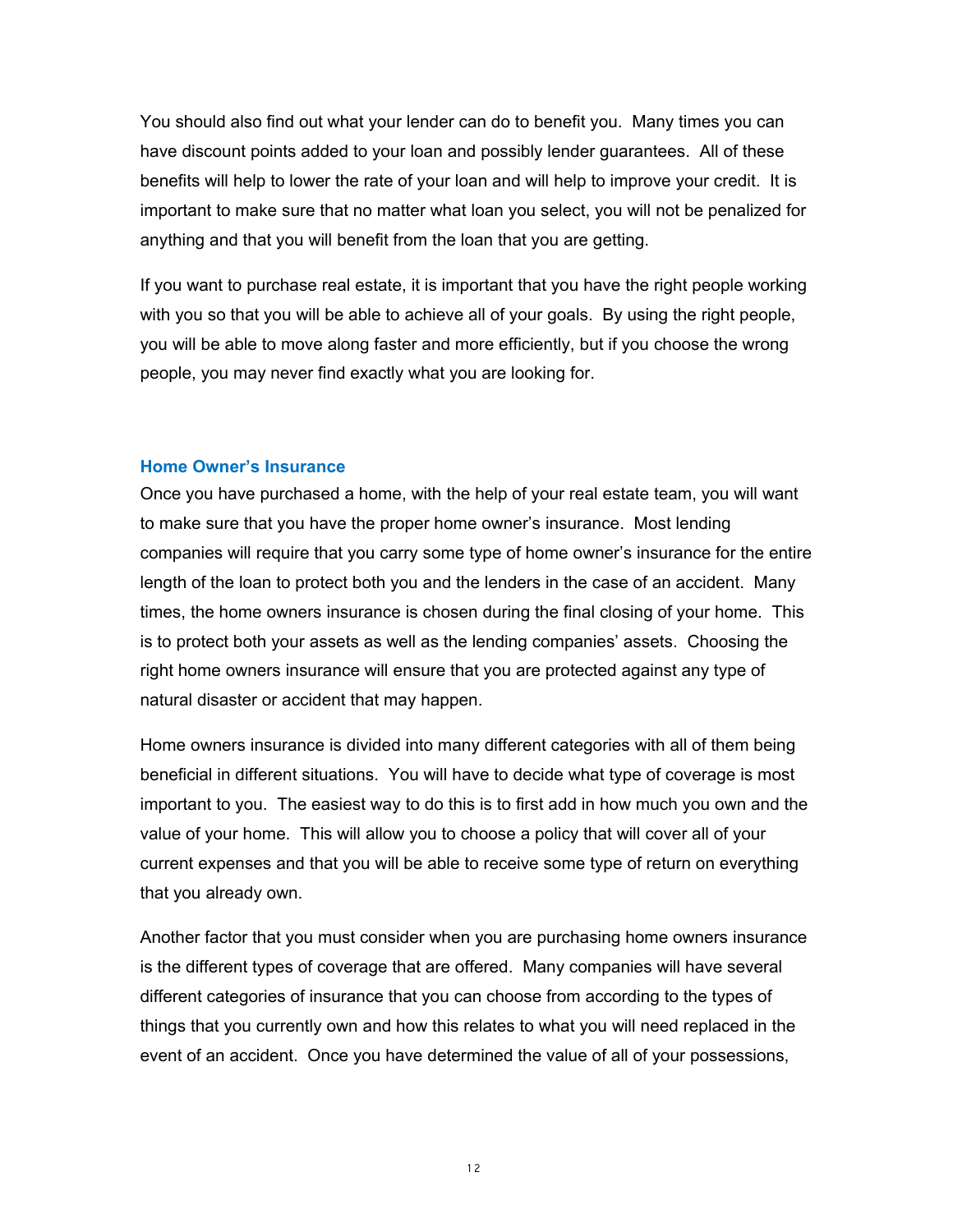You should also find out what your lender can do to benefit you. Many times you can have discount points added to your loan and possibly lender guarantees. All of these benefits will help to lower the rate of your loan and will help to improve your credit. It is important to make sure that no matter what loan you select, you will not be penalized for anything and that you will benefit from the loan that you are getting.

If you want to purchase real estate, it is important that you have the right people working with you so that you will be able to achieve all of your goals. By using the right people, you will be able to move along faster and more efficiently, but if you choose the wrong people, you may never find exactly what you are looking for.

#### <span id="page-11-0"></span>**Home Owner's Insurance**

Once you have purchased a home, with the help of your real estate team, you will want to make sure that you have the proper home owner's insurance. Most lending companies will require that you carry some type of home owner's insurance for the entire length of the loan to protect both you and the lenders in the case of an accident. Many times, the home owners insurance is chosen during the final closing of your home. This is to protect both your assets as well as the lending companies' assets. Choosing the right home owners insurance will ensure that you are protected against any type of natural disaster or accident that may happen.

Home owners insurance is divided into many different categories with all of them being beneficial in different situations. You will have to decide what type of coverage is most important to you. The easiest way to do this is to first add in how much you own and the value of your home. This will allow you to choose a policy that will cover all of your current expenses and that you will be able to receive some type of return on everything that you already own.

Another factor that you must consider when you are purchasing home owners insurance is the different types of coverage that are offered. Many companies will have several different categories of insurance that you can choose from according to the types of things that you currently own and how this relates to what you will need replaced in the event of an accident. Once you have determined the value of all of your possessions,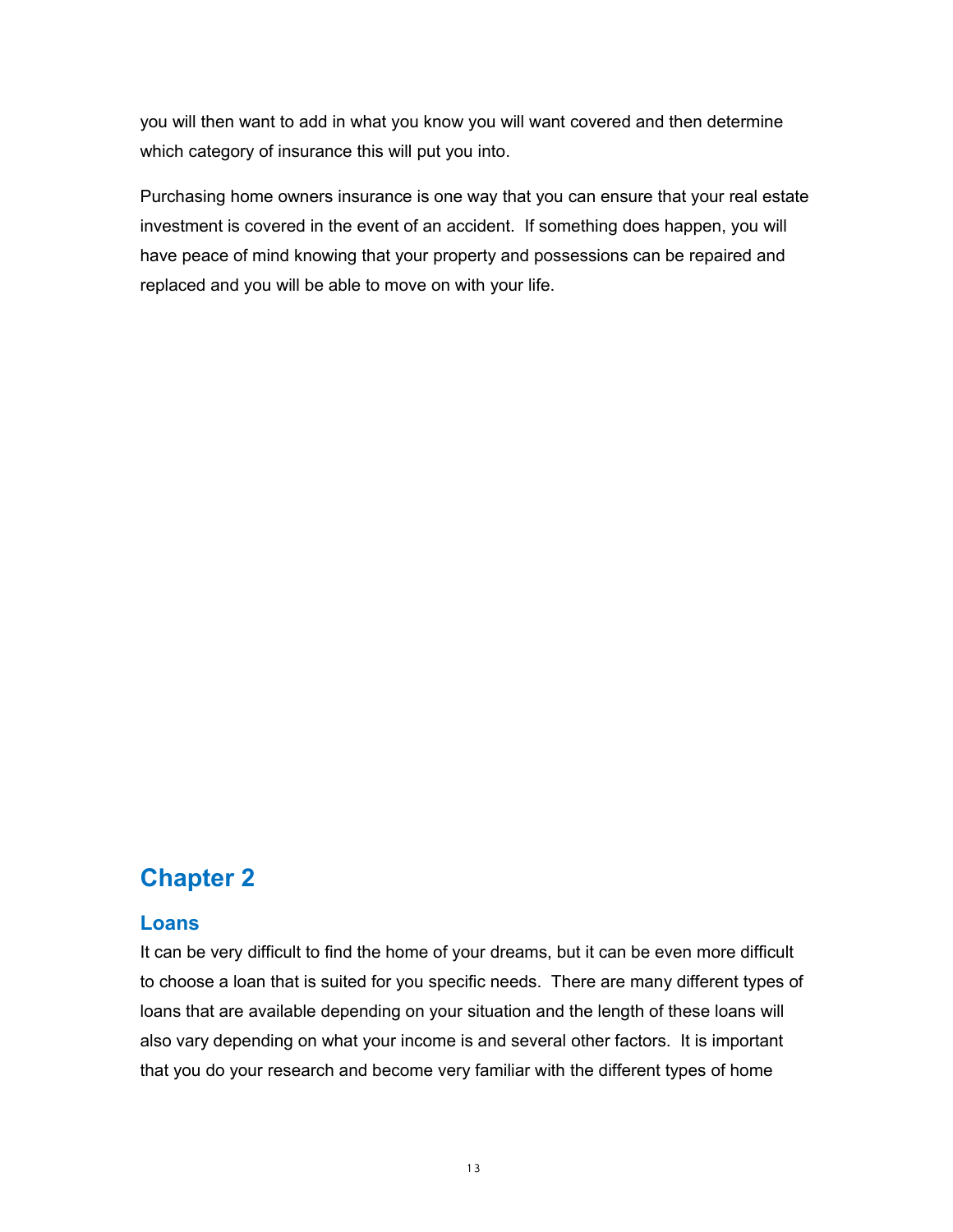you will then want to add in what you know you will want covered and then determine which category of insurance this will put you into.

Purchasing home owners insurance is one way that you can ensure that your real estate investment is covered in the event of an accident. If something does happen, you will have peace of mind knowing that your property and possessions can be repaired and replaced and you will be able to move on with your life.

# <span id="page-12-1"></span>**Chapter 2**

# <span id="page-12-0"></span>**Loans**

It can be very difficult to find the home of your dreams, but it can be even more difficult to choose a loan that is suited for you specific needs. There are many different types of loans that are available depending on your situation and the length of these loans will also vary depending on what your income is and several other factors. It is important that you do your research and become very familiar with the different types of home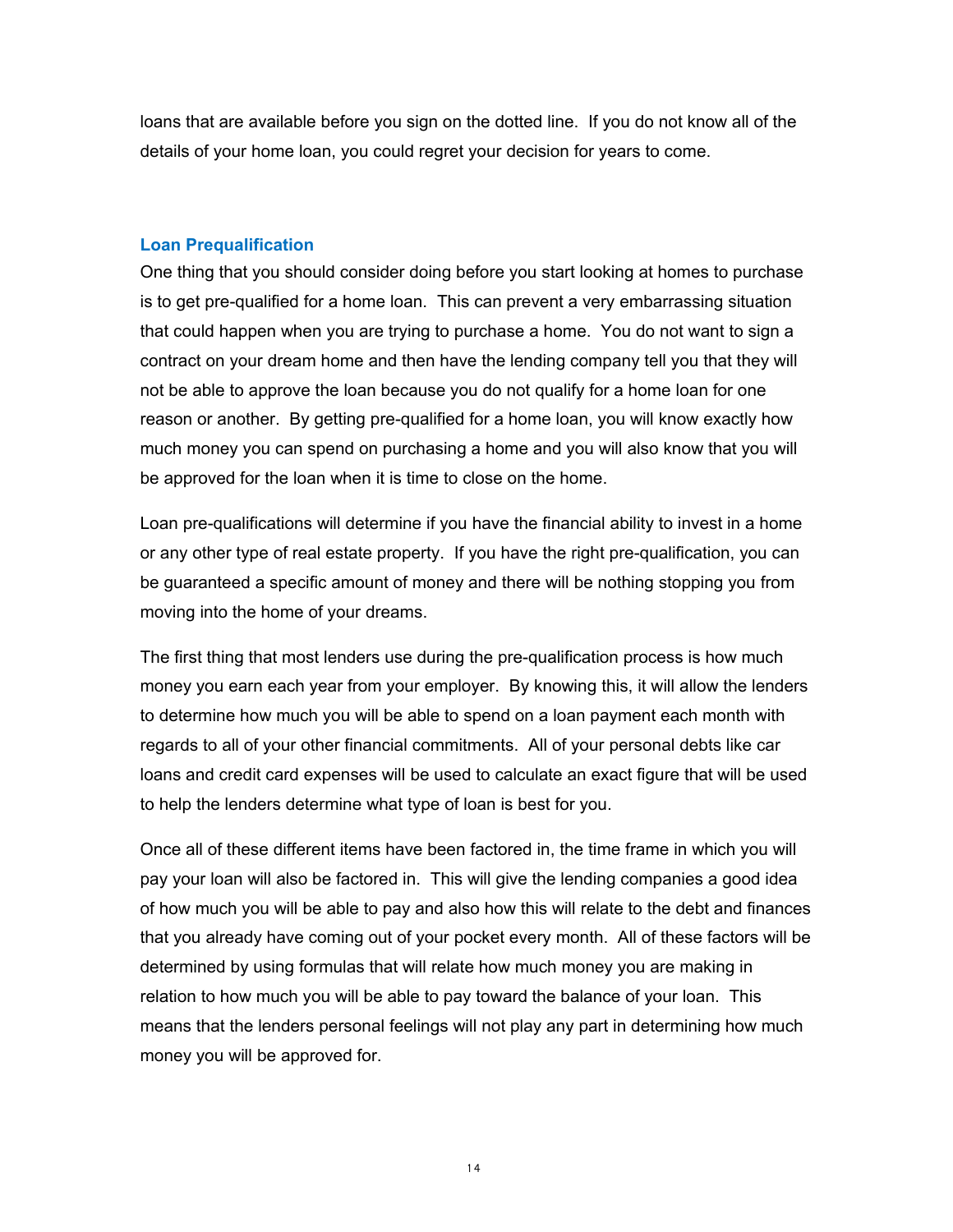loans that are available before you sign on the dotted line. If you do not know all of the details of your home loan, you could regret your decision for years to come.

#### <span id="page-13-0"></span>**Loan Prequalification**

One thing that you should consider doing before you start looking at homes to purchase is to get pre-qualified for a home loan. This can prevent a very embarrassing situation that could happen when you are trying to purchase a home. You do not want to sign a contract on your dream home and then have the lending company tell you that they will not be able to approve the loan because you do not qualify for a home loan for one reason or another. By getting pre-qualified for a home loan, you will know exactly how much money you can spend on purchasing a home and you will also know that you will be approved for the loan when it is time to close on the home.

Loan pre-qualifications will determine if you have the financial ability to invest in a home or any other type of real estate property. If you have the right pre-qualification, you can be guaranteed a specific amount of money and there will be nothing stopping you from moving into the home of your dreams.

The first thing that most lenders use during the pre-qualification process is how much money you earn each year from your employer. By knowing this, it will allow the lenders to determine how much you will be able to spend on a loan payment each month with regards to all of your other financial commitments. All of your personal debts like car loans and credit card expenses will be used to calculate an exact figure that will be used to help the lenders determine what type of loan is best for you.

Once all of these different items have been factored in, the time frame in which you will pay your loan will also be factored in. This will give the lending companies a good idea of how much you will be able to pay and also how this will relate to the debt and finances that you already have coming out of your pocket every month. All of these factors will be determined by using formulas that will relate how much money you are making in relation to how much you will be able to pay toward the balance of your loan. This means that the lenders personal feelings will not play any part in determining how much money you will be approved for.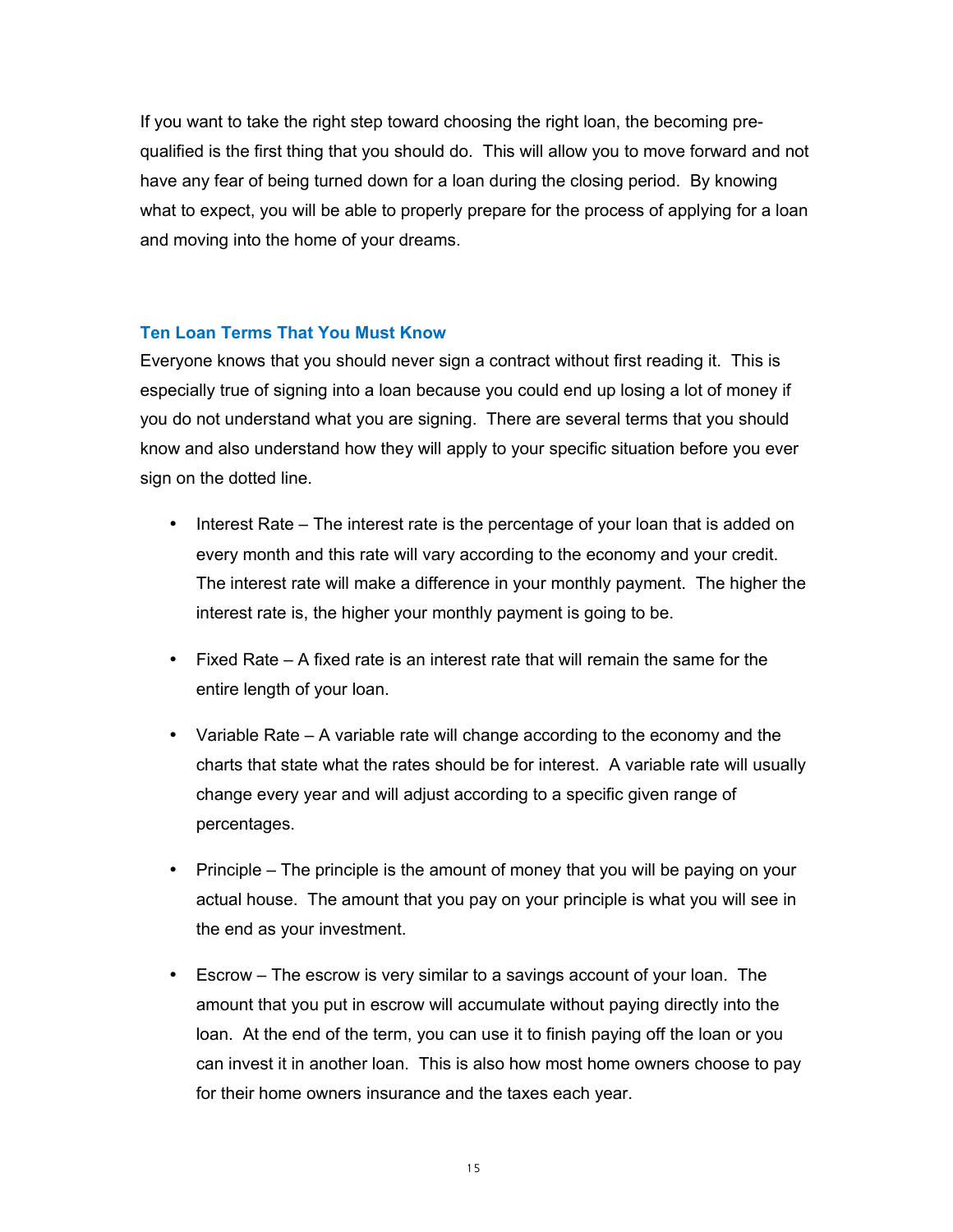If you want to take the right step toward choosing the right loan, the becoming prequalified is the first thing that you should do. This will allow you to move forward and not have any fear of being turned down for a loan during the closing period. By knowing what to expect, you will be able to properly prepare for the process of applying for a loan and moving into the home of your dreams.

## <span id="page-14-0"></span>**Ten Loan Terms That You Must Know**

Everyone knows that you should never sign a contract without first reading it. This is especially true of signing into a loan because you could end up losing a lot of money if you do not understand what you are signing. There are several terms that you should know and also understand how they will apply to your specific situation before you ever sign on the dotted line.

- Interest Rate The interest rate is the percentage of your loan that is added on every month and this rate will vary according to the economy and your credit. The interest rate will make a difference in your monthly payment. The higher the interest rate is, the higher your monthly payment is going to be.
- Fixed Rate A fixed rate is an interest rate that will remain the same for the entire length of your loan.
- Variable Rate A variable rate will change according to the economy and the charts that state what the rates should be for interest. A variable rate will usually change every year and will adjust according to a specific given range of percentages.
- Principle The principle is the amount of money that you will be paying on your actual house. The amount that you pay on your principle is what you will see in the end as your investment.
- Escrow The escrow is very similar to a savings account of your loan. The amount that you put in escrow will accumulate without paying directly into the loan. At the end of the term, you can use it to finish paying off the loan or you can invest it in another loan. This is also how most home owners choose to pay for their home owners insurance and the taxes each year.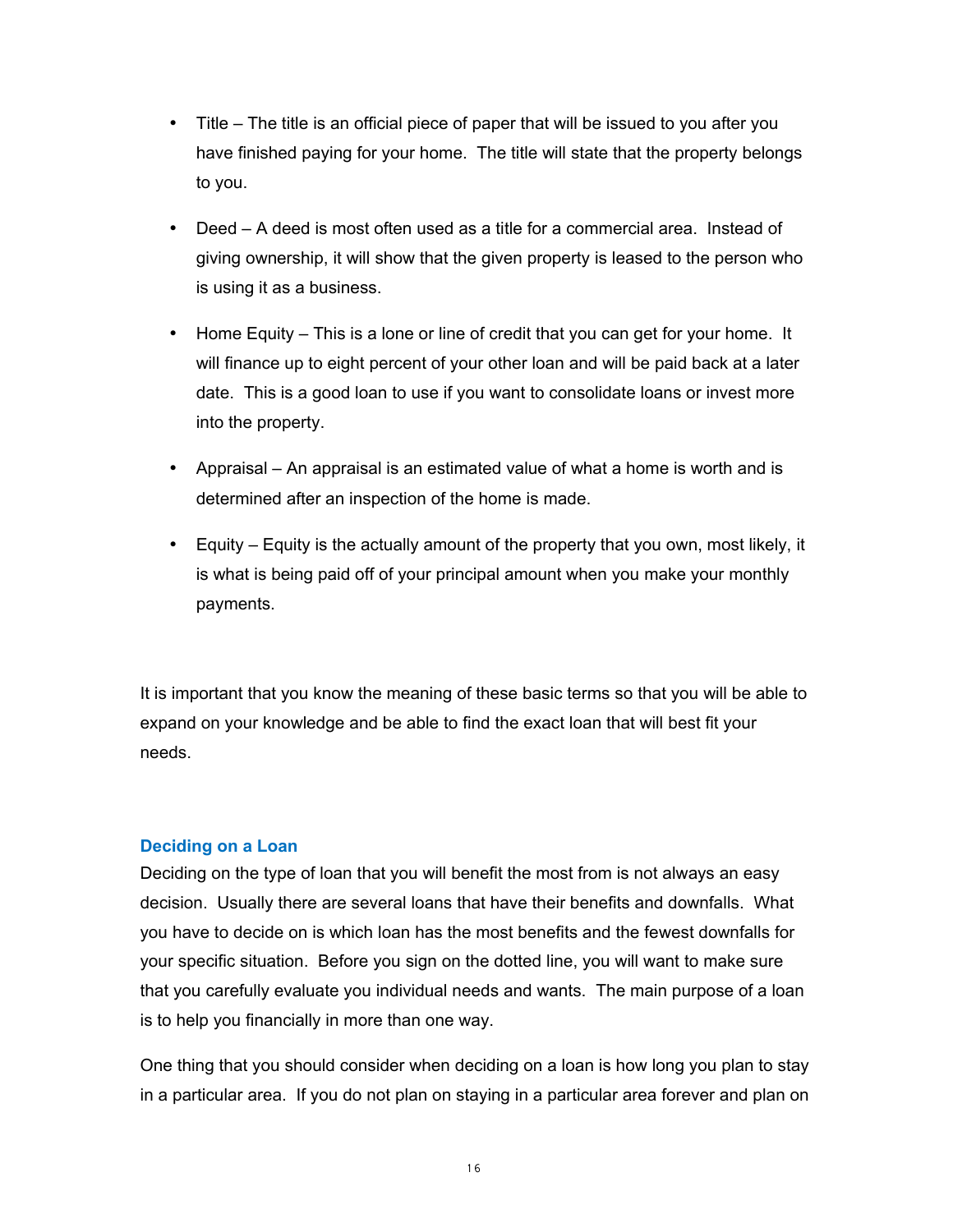- Title The title is an official piece of paper that will be issued to you after you have finished paying for your home. The title will state that the property belongs to you.
- Deed A deed is most often used as a title for a commercial area. Instead of giving ownership, it will show that the given property is leased to the person who is using it as a business.
- Home Equity This is a lone or line of credit that you can get for your home. It will finance up to eight percent of your other loan and will be paid back at a later date. This is a good loan to use if you want to consolidate loans or invest more into the property.
- Appraisal An appraisal is an estimated value of what a home is worth and is determined after an inspection of the home is made.
- Equity Equity is the actually amount of the property that you own, most likely, it is what is being paid off of your principal amount when you make your monthly payments.

It is important that you know the meaning of these basic terms so that you will be able to expand on your knowledge and be able to find the exact loan that will best fit your needs.

## <span id="page-15-0"></span>**Deciding on a Loan**

Deciding on the type of loan that you will benefit the most from is not always an easy decision. Usually there are several loans that have their benefits and downfalls. What you have to decide on is which loan has the most benefits and the fewest downfalls for your specific situation. Before you sign on the dotted line, you will want to make sure that you carefully evaluate you individual needs and wants. The main purpose of a loan is to help you financially in more than one way.

One thing that you should consider when deciding on a loan is how long you plan to stay in a particular area. If you do not plan on staying in a particular area forever and plan on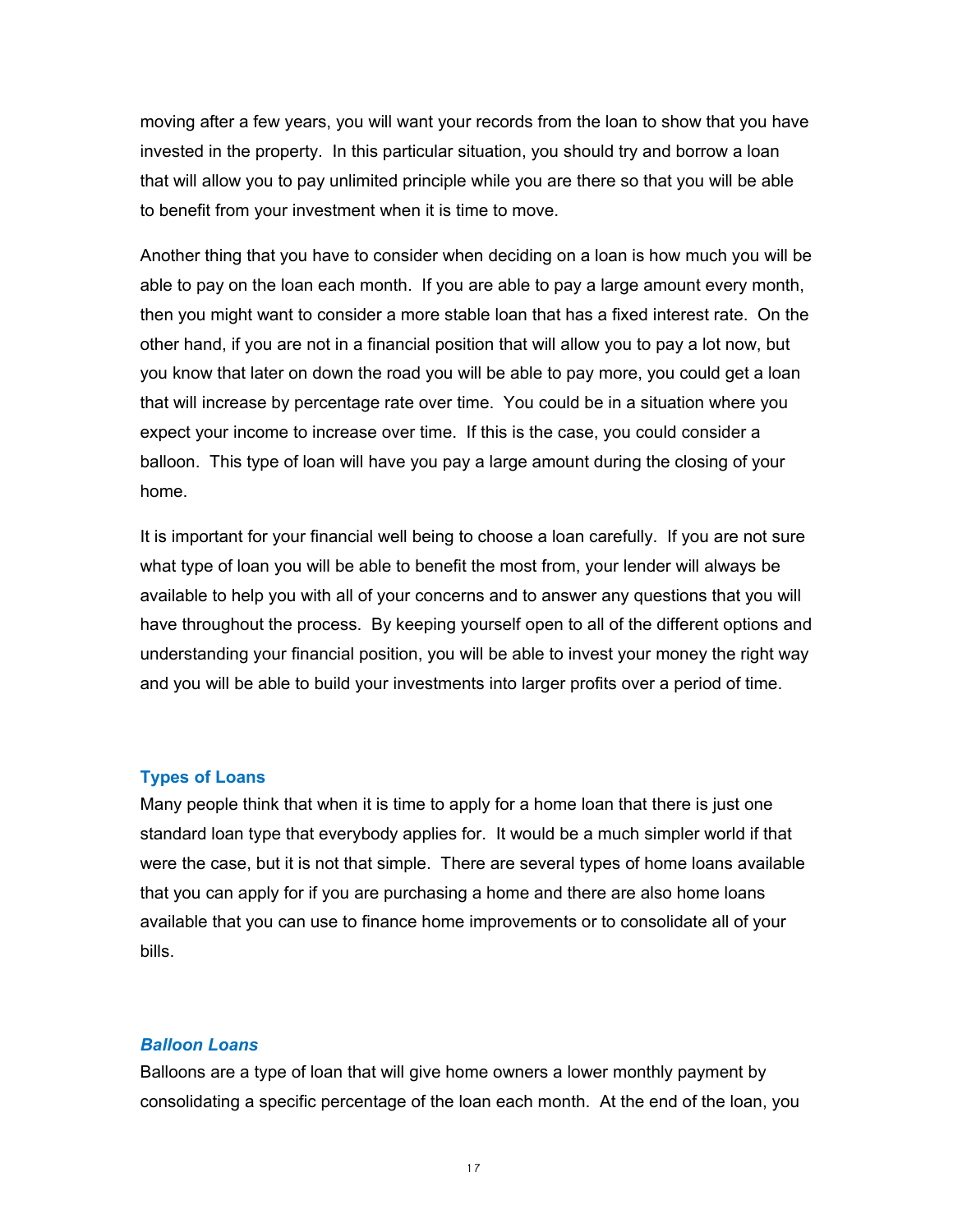moving after a few years, you will want your records from the loan to show that you have invested in the property. In this particular situation, you should try and borrow a loan that will allow you to pay unlimited principle while you are there so that you will be able to benefit from your investment when it is time to move.

Another thing that you have to consider when deciding on a loan is how much you will be able to pay on the loan each month. If you are able to pay a large amount every month, then you might want to consider a more stable loan that has a fixed interest rate. On the other hand, if you are not in a financial position that will allow you to pay a lot now, but you know that later on down the road you will be able to pay more, you could get a loan that will increase by percentage rate over time. You could be in a situation where you expect your income to increase over time. If this is the case, you could consider a balloon. This type of loan will have you pay a large amount during the closing of your home.

It is important for your financial well being to choose a loan carefully. If you are not sure what type of loan you will be able to benefit the most from, your lender will always be available to help you with all of your concerns and to answer any questions that you will have throughout the process. By keeping yourself open to all of the different options and understanding your financial position, you will be able to invest your money the right way and you will be able to build your investments into larger profits over a period of time.

#### <span id="page-16-0"></span>**Types of Loans**

Many people think that when it is time to apply for a home loan that there is just one standard loan type that everybody applies for. It would be a much simpler world if that were the case, but it is not that simple. There are several types of home loans available that you can apply for if you are purchasing a home and there are also home loans available that you can use to finance home improvements or to consolidate all of your bills.

#### *Balloon Loans*

Balloons are a type of loan that will give home owners a lower monthly payment by consolidating a specific percentage of the loan each month. At the end of the loan, you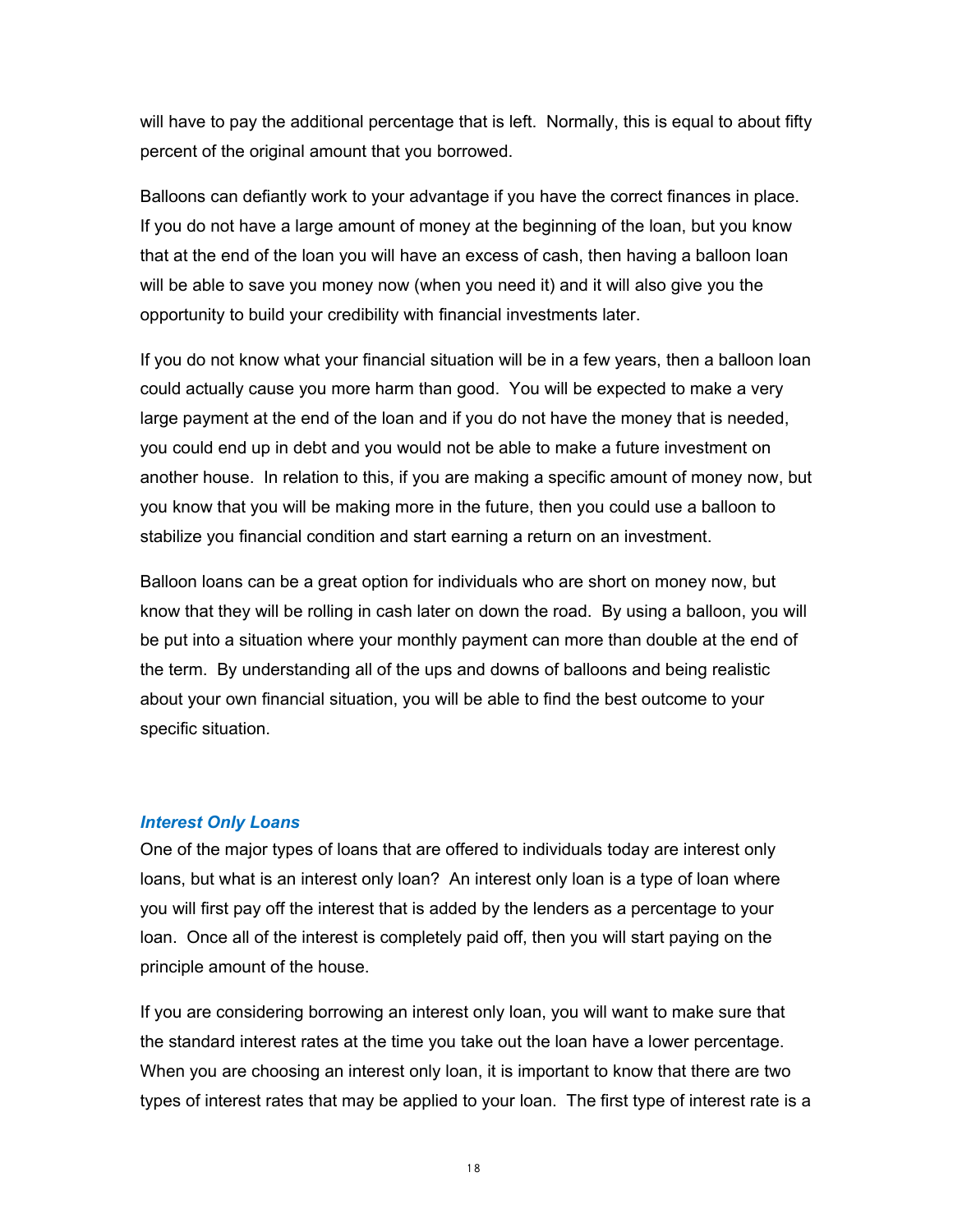will have to pay the additional percentage that is left. Normally, this is equal to about fifty percent of the original amount that you borrowed.

Balloons can defiantly work to your advantage if you have the correct finances in place. If you do not have a large amount of money at the beginning of the loan, but you know that at the end of the loan you will have an excess of cash, then having a balloon loan will be able to save you money now (when you need it) and it will also give you the opportunity to build your credibility with financial investments later.

If you do not know what your financial situation will be in a few years, then a balloon loan could actually cause you more harm than good. You will be expected to make a very large payment at the end of the loan and if you do not have the money that is needed, you could end up in debt and you would not be able to make a future investment on another house. In relation to this, if you are making a specific amount of money now, but you know that you will be making more in the future, then you could use a balloon to stabilize you financial condition and start earning a return on an investment.

Balloon loans can be a great option for individuals who are short on money now, but know that they will be rolling in cash later on down the road. By using a balloon, you will be put into a situation where your monthly payment can more than double at the end of the term. By understanding all of the ups and downs of balloons and being realistic about your own financial situation, you will be able to find the best outcome to your specific situation.

#### *Interest Only Loans*

One of the major types of loans that are offered to individuals today are interest only loans, but what is an interest only loan? An interest only loan is a type of loan where you will first pay off the interest that is added by the lenders as a percentage to your loan. Once all of the interest is completely paid off, then you will start paying on the principle amount of the house.

If you are considering borrowing an interest only loan, you will want to make sure that the standard interest rates at the time you take out the loan have a lower percentage. When you are choosing an interest only loan, it is important to know that there are two types of interest rates that may be applied to your loan. The first type of interest rate is a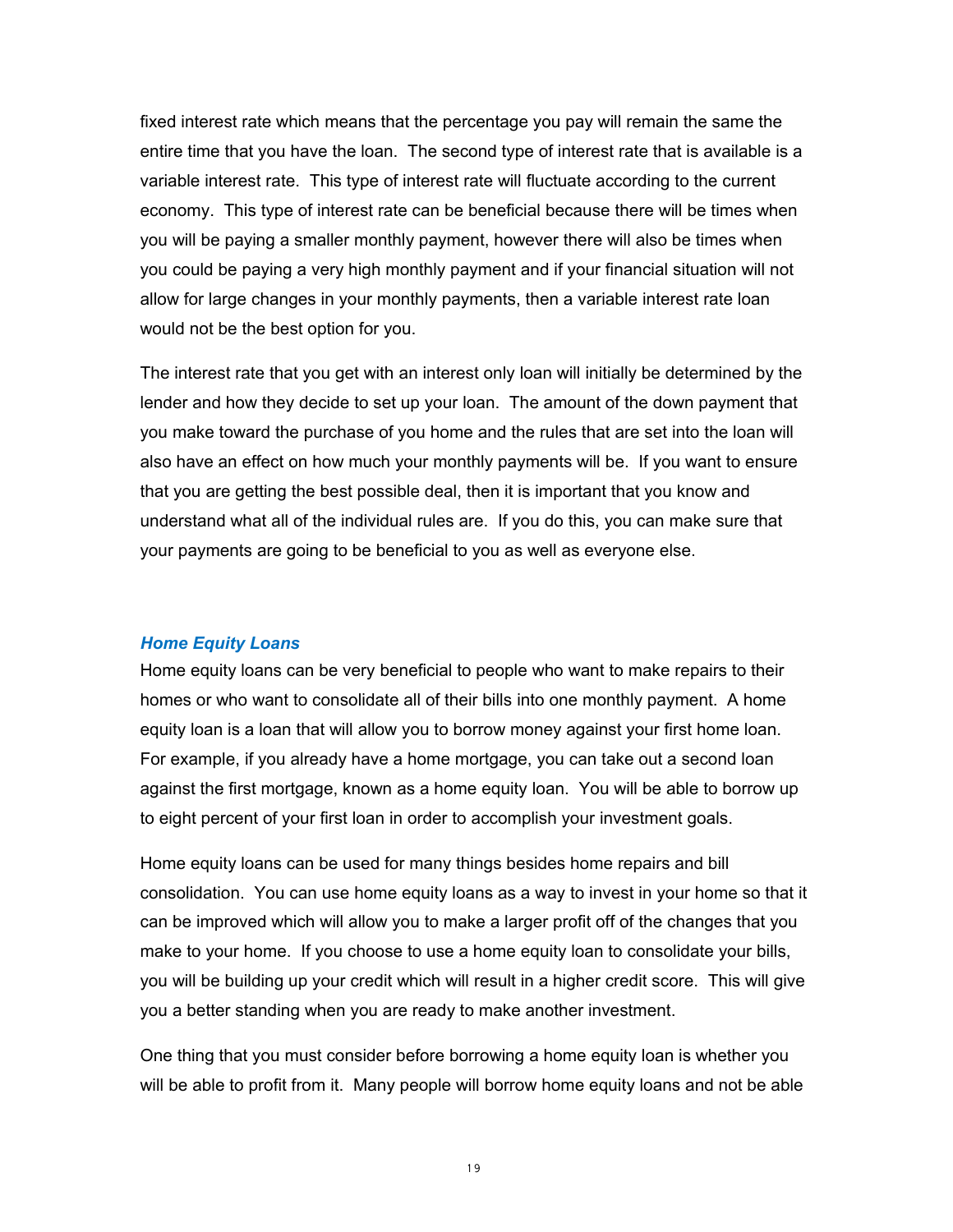fixed interest rate which means that the percentage you pay will remain the same the entire time that you have the loan. The second type of interest rate that is available is a variable interest rate. This type of interest rate will fluctuate according to the current economy. This type of interest rate can be beneficial because there will be times when you will be paying a smaller monthly payment, however there will also be times when you could be paying a very high monthly payment and if your financial situation will not allow for large changes in your monthly payments, then a variable interest rate loan would not be the best option for you.

The interest rate that you get with an interest only loan will initially be determined by the lender and how they decide to set up your loan. The amount of the down payment that you make toward the purchase of you home and the rules that are set into the loan will also have an effect on how much your monthly payments will be. If you want to ensure that you are getting the best possible deal, then it is important that you know and understand what all of the individual rules are. If you do this, you can make sure that your payments are going to be beneficial to you as well as everyone else.

#### *Home Equity Loans*

Home equity loans can be very beneficial to people who want to make repairs to their homes or who want to consolidate all of their bills into one monthly payment. A home equity loan is a loan that will allow you to borrow money against your first home loan. For example, if you already have a home mortgage, you can take out a second loan against the first mortgage, known as a home equity loan. You will be able to borrow up to eight percent of your first loan in order to accomplish your investment goals.

Home equity loans can be used for many things besides home repairs and bill consolidation. You can use home equity loans as a way to invest in your home so that it can be improved which will allow you to make a larger profit off of the changes that you make to your home. If you choose to use a home equity loan to consolidate your bills, you will be building up your credit which will result in a higher credit score. This will give you a better standing when you are ready to make another investment.

One thing that you must consider before borrowing a home equity loan is whether you will be able to profit from it. Many people will borrow home equity loans and not be able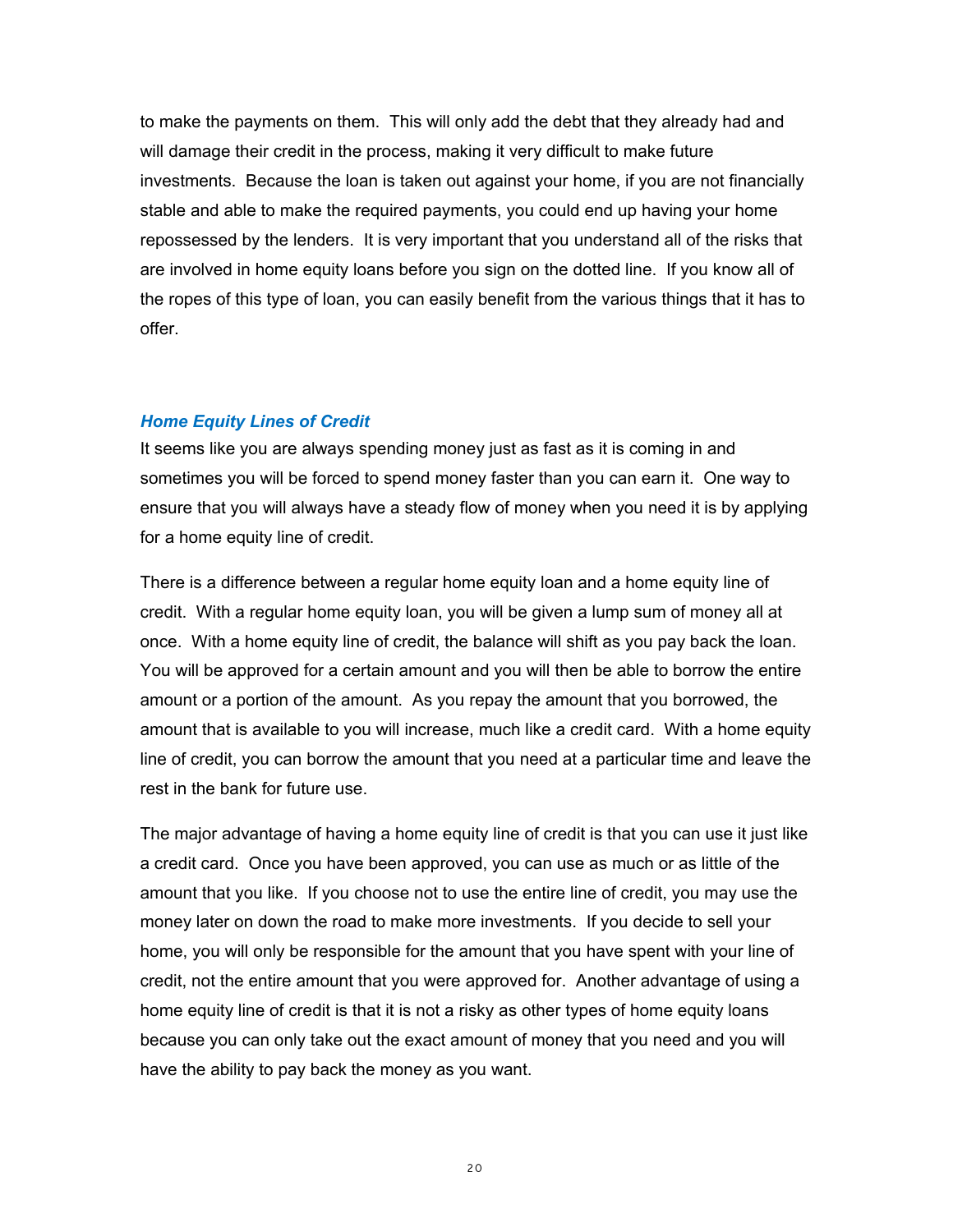to make the payments on them. This will only add the debt that they already had and will damage their credit in the process, making it very difficult to make future investments. Because the loan is taken out against your home, if you are not financially stable and able to make the required payments, you could end up having your home repossessed by the lenders. It is very important that you understand all of the risks that are involved in home equity loans before you sign on the dotted line. If you know all of the ropes of this type of loan, you can easily benefit from the various things that it has to offer.

#### *Home Equity Lines of Credit*

It seems like you are always spending money just as fast as it is coming in and sometimes you will be forced to spend money faster than you can earn it. One way to ensure that you will always have a steady flow of money when you need it is by applying for a home equity line of credit.

There is a difference between a regular home equity loan and a home equity line of credit. With a regular home equity loan, you will be given a lump sum of money all at once. With a home equity line of credit, the balance will shift as you pay back the loan. You will be approved for a certain amount and you will then be able to borrow the entire amount or a portion of the amount. As you repay the amount that you borrowed, the amount that is available to you will increase, much like a credit card. With a home equity line of credit, you can borrow the amount that you need at a particular time and leave the rest in the bank for future use.

The major advantage of having a home equity line of credit is that you can use it just like a credit card. Once you have been approved, you can use as much or as little of the amount that you like. If you choose not to use the entire line of credit, you may use the money later on down the road to make more investments. If you decide to sell your home, you will only be responsible for the amount that you have spent with your line of credit, not the entire amount that you were approved for. Another advantage of using a home equity line of credit is that it is not a risky as other types of home equity loans because you can only take out the exact amount of money that you need and you will have the ability to pay back the money as you want.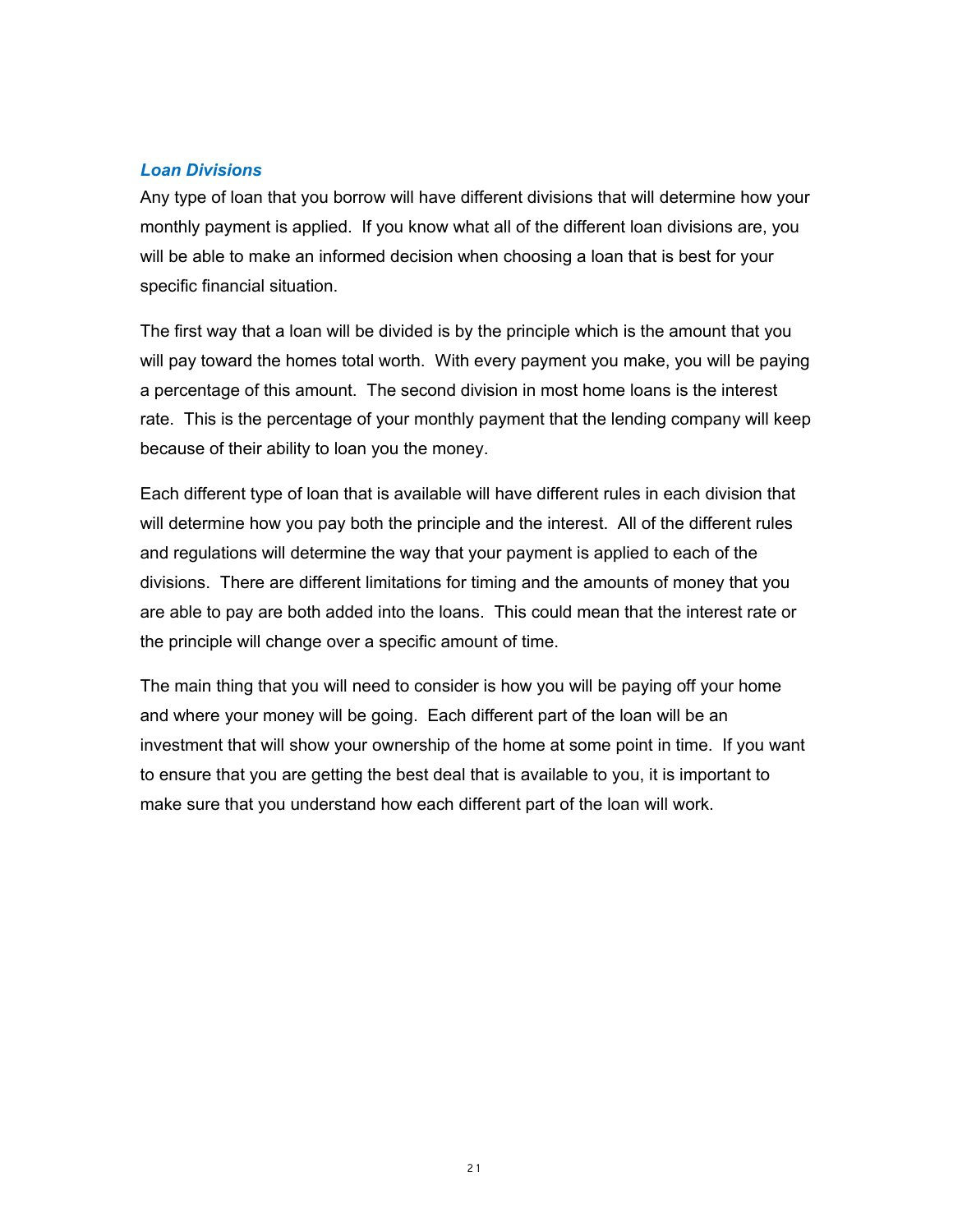## *Loan Divisions*

Any type of loan that you borrow will have different divisions that will determine how your monthly payment is applied. If you know what all of the different loan divisions are, you will be able to make an informed decision when choosing a loan that is best for your specific financial situation.

The first way that a loan will be divided is by the principle which is the amount that you will pay toward the homes total worth. With every payment you make, you will be paying a percentage of this amount. The second division in most home loans is the interest rate. This is the percentage of your monthly payment that the lending company will keep because of their ability to loan you the money.

Each different type of loan that is available will have different rules in each division that will determine how you pay both the principle and the interest. All of the different rules and regulations will determine the way that your payment is applied to each of the divisions. There are different limitations for timing and the amounts of money that you are able to pay are both added into the loans. This could mean that the interest rate or the principle will change over a specific amount of time.

The main thing that you will need to consider is how you will be paying off your home and where your money will be going. Each different part of the loan will be an investment that will show your ownership of the home at some point in time. If you want to ensure that you are getting the best deal that is available to you, it is important to make sure that you understand how each different part of the loan will work.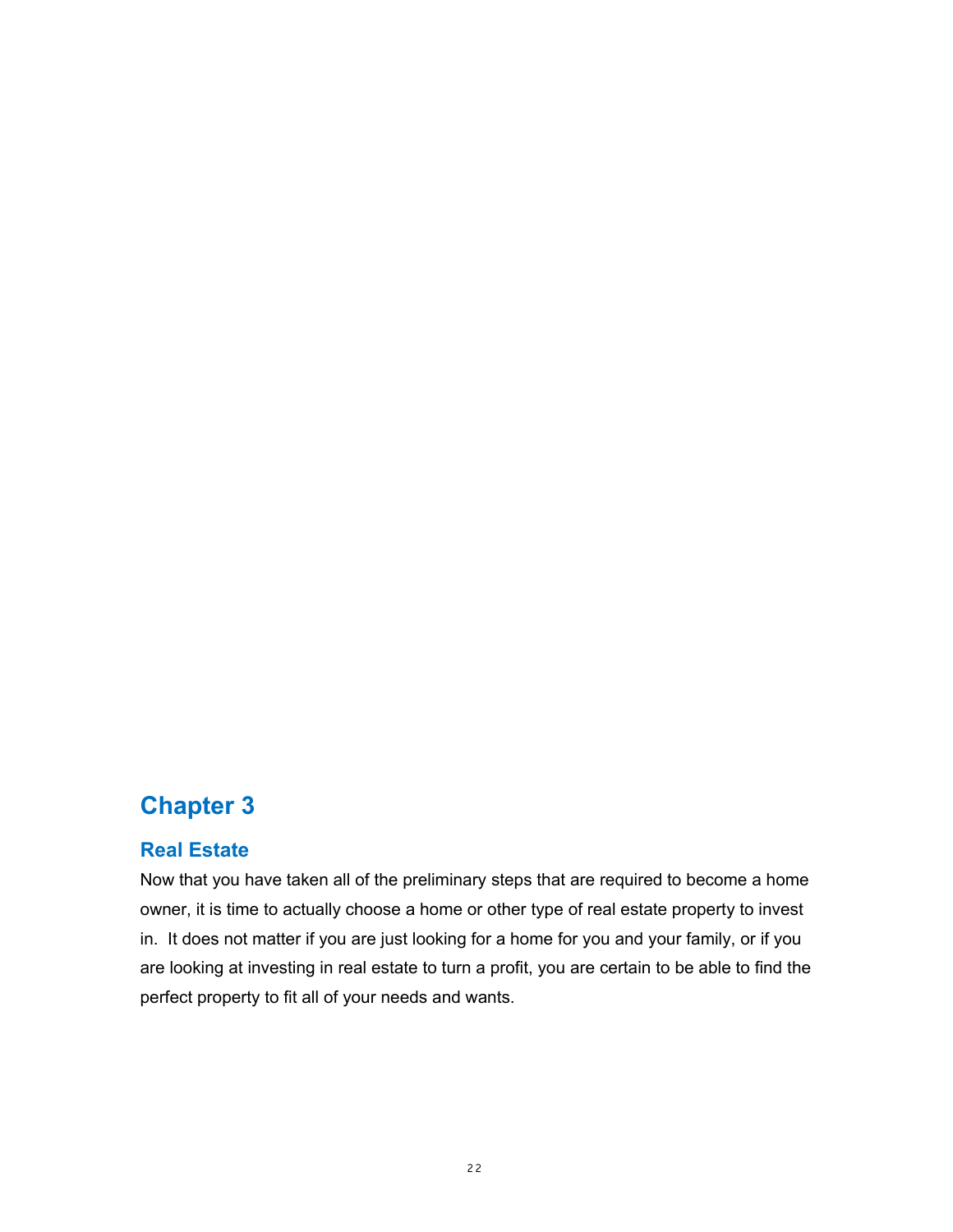# <span id="page-21-1"></span>**Chapter 3**

## <span id="page-21-0"></span>**Real Estate**

Now that you have taken all of the preliminary steps that are required to become a home owner, it is time to actually choose a home or other type of real estate property to invest in. It does not matter if you are just looking for a home for you and your family, or if you are looking at investing in real estate to turn a profit, you are certain to be able to find the perfect property to fit all of your needs and wants.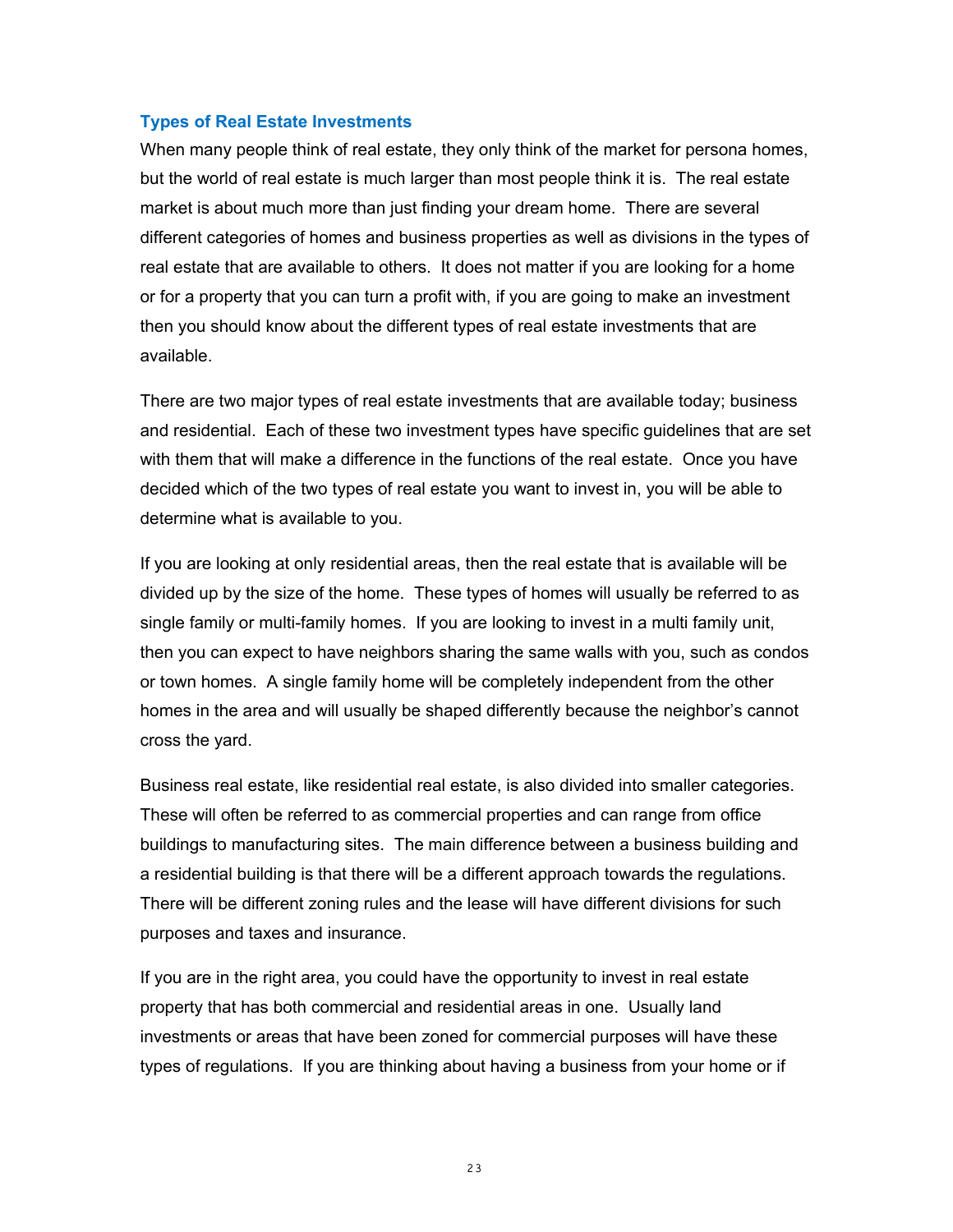#### <span id="page-22-0"></span>**Types of Real Estate Investments**

When many people think of real estate, they only think of the market for persona homes, but the world of real estate is much larger than most people think it is. The real estate market is about much more than just finding your dream home. There are several different categories of homes and business properties as well as divisions in the types of real estate that are available to others. It does not matter if you are looking for a home or for a property that you can turn a profit with, if you are going to make an investment then you should know about the different types of real estate investments that are available.

There are two major types of real estate investments that are available today; business and residential. Each of these two investment types have specific guidelines that are set with them that will make a difference in the functions of the real estate. Once you have decided which of the two types of real estate you want to invest in, you will be able to determine what is available to you.

If you are looking at only residential areas, then the real estate that is available will be divided up by the size of the home. These types of homes will usually be referred to as single family or multi-family homes. If you are looking to invest in a multi family unit, then you can expect to have neighbors sharing the same walls with you, such as condos or town homes. A single family home will be completely independent from the other homes in the area and will usually be shaped differently because the neighbor's cannot cross the yard.

Business real estate, like residential real estate, is also divided into smaller categories. These will often be referred to as commercial properties and can range from office buildings to manufacturing sites. The main difference between a business building and a residential building is that there will be a different approach towards the regulations. There will be different zoning rules and the lease will have different divisions for such purposes and taxes and insurance.

If you are in the right area, you could have the opportunity to invest in real estate property that has both commercial and residential areas in one. Usually land investments or areas that have been zoned for commercial purposes will have these types of regulations. If you are thinking about having a business from your home or if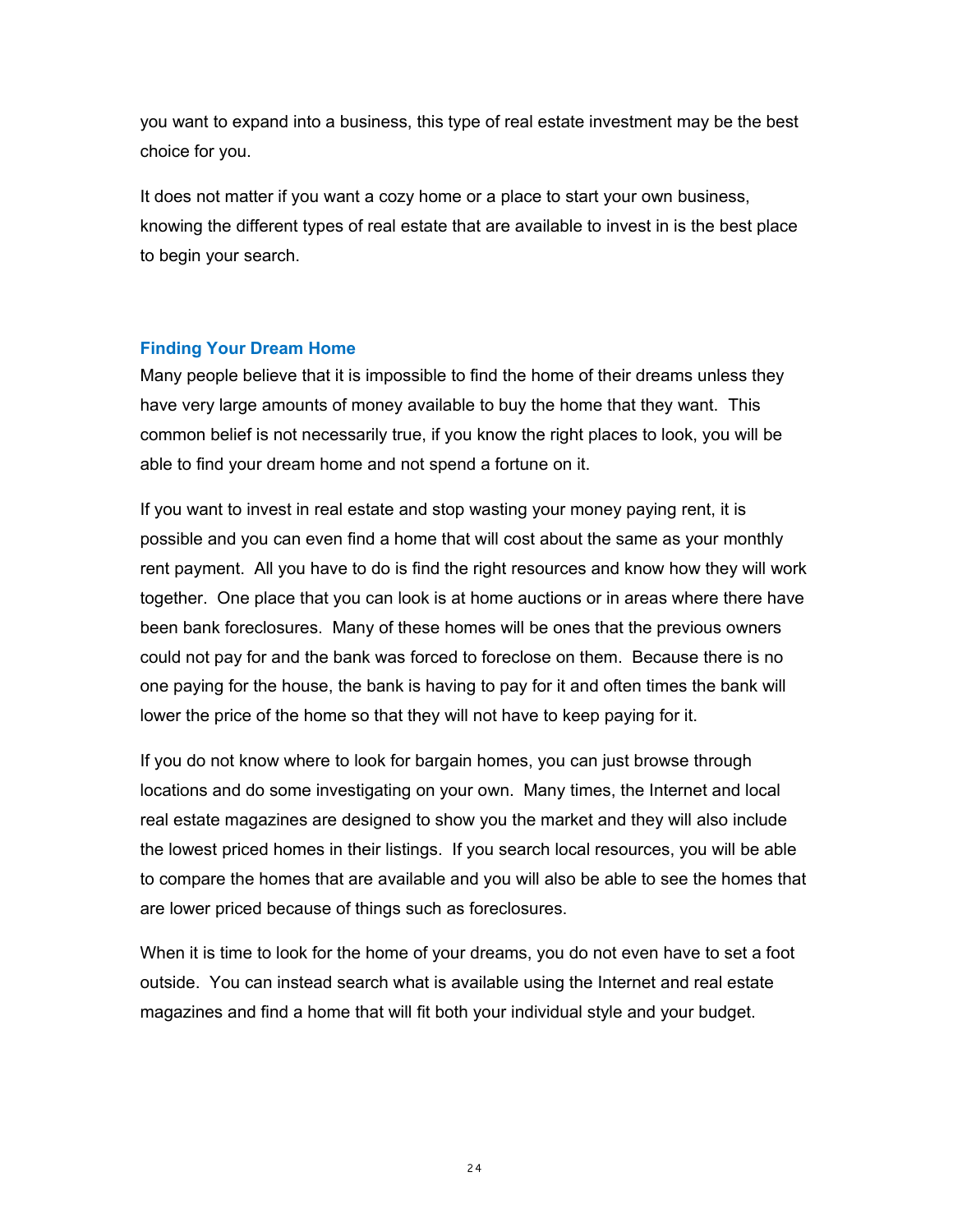you want to expand into a business, this type of real estate investment may be the best choice for you.

It does not matter if you want a cozy home or a place to start your own business, knowing the different types of real estate that are available to invest in is the best place to begin your search.

## <span id="page-23-0"></span>**Finding Your Dream Home**

Many people believe that it is impossible to find the home of their dreams unless they have very large amounts of money available to buy the home that they want. This common belief is not necessarily true, if you know the right places to look, you will be able to find your dream home and not spend a fortune on it.

If you want to invest in real estate and stop wasting your money paying rent, it is possible and you can even find a home that will cost about the same as your monthly rent payment. All you have to do is find the right resources and know how they will work together. One place that you can look is at home auctions or in areas where there have been bank foreclosures. Many of these homes will be ones that the previous owners could not pay for and the bank was forced to foreclose on them. Because there is no one paying for the house, the bank is having to pay for it and often times the bank will lower the price of the home so that they will not have to keep paying for it.

If you do not know where to look for bargain homes, you can just browse through locations and do some investigating on your own. Many times, the Internet and local real estate magazines are designed to show you the market and they will also include the lowest priced homes in their listings. If you search local resources, you will be able to compare the homes that are available and you will also be able to see the homes that are lower priced because of things such as foreclosures.

When it is time to look for the home of your dreams, you do not even have to set a foot outside. You can instead search what is available using the Internet and real estate magazines and find a home that will fit both your individual style and your budget.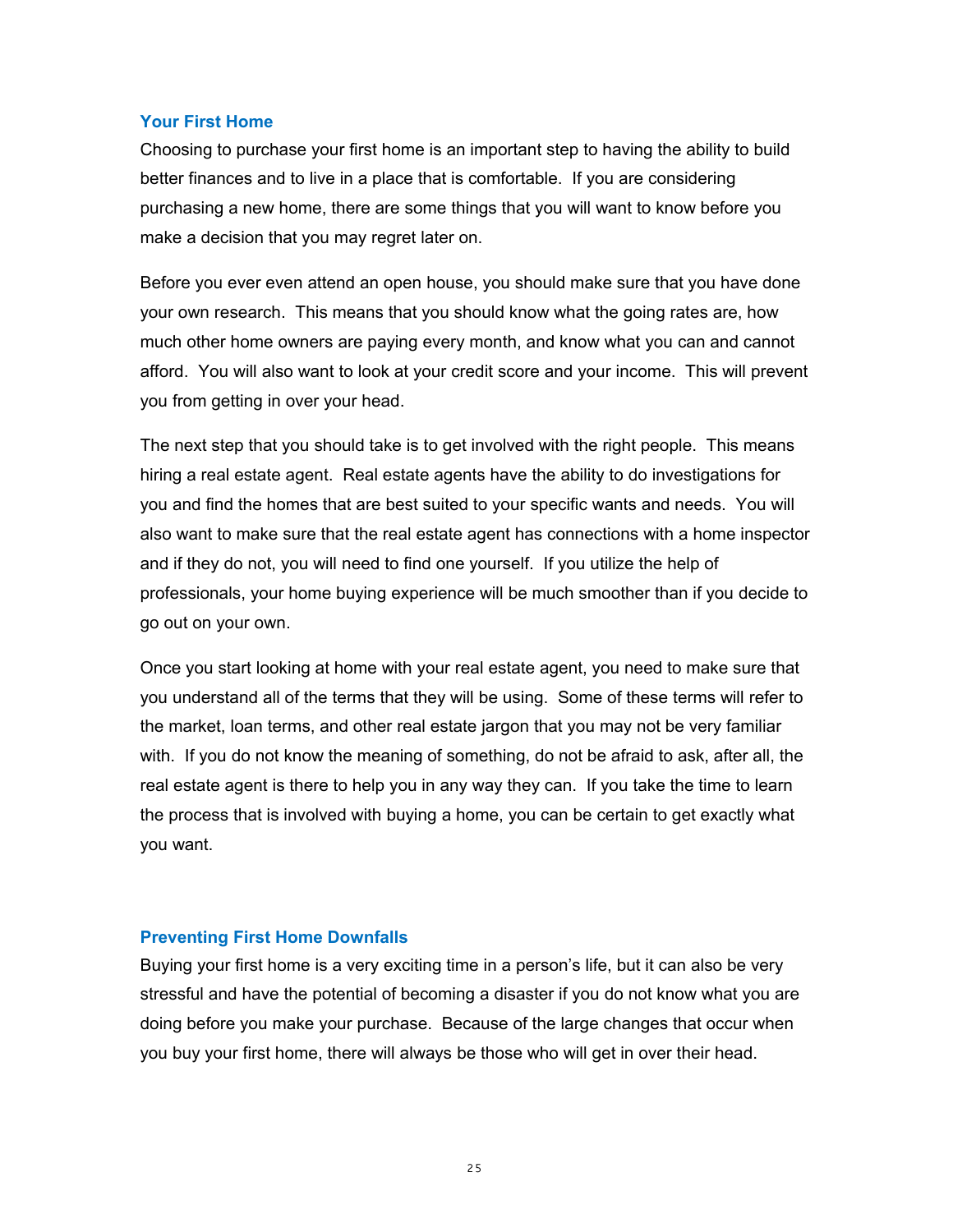#### <span id="page-24-1"></span>**Your First Home**

Choosing to purchase your first home is an important step to having the ability to build better finances and to live in a place that is comfortable. If you are considering purchasing a new home, there are some things that you will want to know before you make a decision that you may regret later on.

Before you ever even attend an open house, you should make sure that you have done your own research. This means that you should know what the going rates are, how much other home owners are paying every month, and know what you can and cannot afford. You will also want to look at your credit score and your income. This will prevent you from getting in over your head.

The next step that you should take is to get involved with the right people. This means hiring a real estate agent. Real estate agents have the ability to do investigations for you and find the homes that are best suited to your specific wants and needs. You will also want to make sure that the real estate agent has connections with a home inspector and if they do not, you will need to find one yourself. If you utilize the help of professionals, your home buying experience will be much smoother than if you decide to go out on your own.

Once you start looking at home with your real estate agent, you need to make sure that you understand all of the terms that they will be using. Some of these terms will refer to the market, loan terms, and other real estate jargon that you may not be very familiar with. If you do not know the meaning of something, do not be afraid to ask, after all, the real estate agent is there to help you in any way they can. If you take the time to learn the process that is involved with buying a home, you can be certain to get exactly what you want.

#### <span id="page-24-0"></span>**Preventing First Home Downfalls**

Buying your first home is a very exciting time in a person's life, but it can also be very stressful and have the potential of becoming a disaster if you do not know what you are doing before you make your purchase. Because of the large changes that occur when you buy your first home, there will always be those who will get in over their head.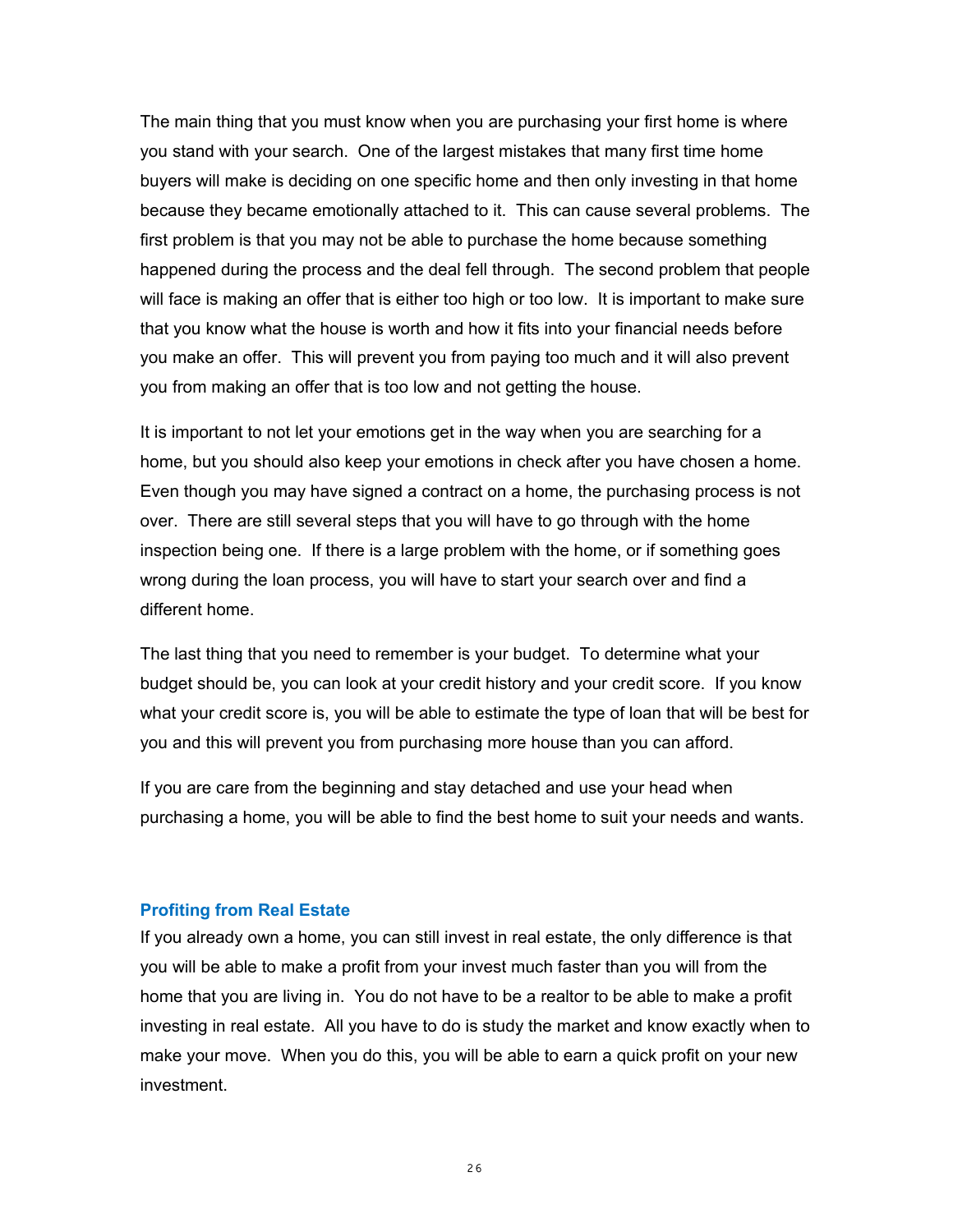The main thing that you must know when you are purchasing your first home is where you stand with your search. One of the largest mistakes that many first time home buyers will make is deciding on one specific home and then only investing in that home because they became emotionally attached to it. This can cause several problems. The first problem is that you may not be able to purchase the home because something happened during the process and the deal fell through. The second problem that people will face is making an offer that is either too high or too low. It is important to make sure that you know what the house is worth and how it fits into your financial needs before you make an offer. This will prevent you from paying too much and it will also prevent you from making an offer that is too low and not getting the house.

It is important to not let your emotions get in the way when you are searching for a home, but you should also keep your emotions in check after you have chosen a home. Even though you may have signed a contract on a home, the purchasing process is not over. There are still several steps that you will have to go through with the home inspection being one. If there is a large problem with the home, or if something goes wrong during the loan process, you will have to start your search over and find a different home.

The last thing that you need to remember is your budget. To determine what your budget should be, you can look at your credit history and your credit score. If you know what your credit score is, you will be able to estimate the type of loan that will be best for you and this will prevent you from purchasing more house than you can afford.

If you are care from the beginning and stay detached and use your head when purchasing a home, you will be able to find the best home to suit your needs and wants.

#### <span id="page-25-0"></span>**Profiting from Real Estate**

If you already own a home, you can still invest in real estate, the only difference is that you will be able to make a profit from your invest much faster than you will from the home that you are living in. You do not have to be a realtor to be able to make a profit investing in real estate. All you have to do is study the market and know exactly when to make your move. When you do this, you will be able to earn a quick profit on your new investment.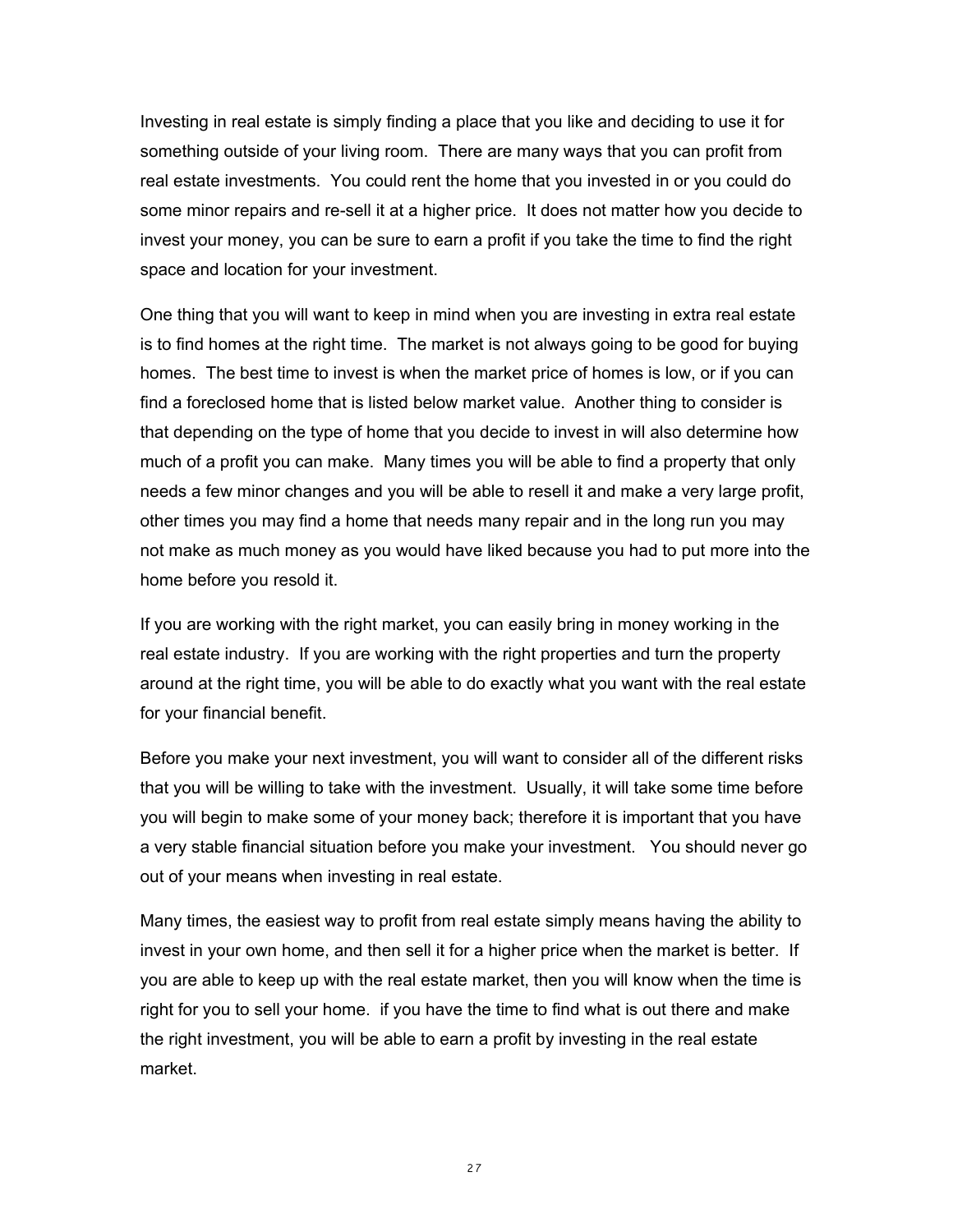Investing in real estate is simply finding a place that you like and deciding to use it for something outside of your living room. There are many ways that you can profit from real estate investments. You could rent the home that you invested in or you could do some minor repairs and re-sell it at a higher price. It does not matter how you decide to invest your money, you can be sure to earn a profit if you take the time to find the right space and location for your investment.

One thing that you will want to keep in mind when you are investing in extra real estate is to find homes at the right time. The market is not always going to be good for buying homes. The best time to invest is when the market price of homes is low, or if you can find a foreclosed home that is listed below market value. Another thing to consider is that depending on the type of home that you decide to invest in will also determine how much of a profit you can make. Many times you will be able to find a property that only needs a few minor changes and you will be able to resell it and make a very large profit, other times you may find a home that needs many repair and in the long run you may not make as much money as you would have liked because you had to put more into the home before you resold it.

If you are working with the right market, you can easily bring in money working in the real estate industry. If you are working with the right properties and turn the property around at the right time, you will be able to do exactly what you want with the real estate for your financial benefit.

Before you make your next investment, you will want to consider all of the different risks that you will be willing to take with the investment. Usually, it will take some time before you will begin to make some of your money back; therefore it is important that you have a very stable financial situation before you make your investment. You should never go out of your means when investing in real estate.

Many times, the easiest way to profit from real estate simply means having the ability to invest in your own home, and then sell it for a higher price when the market is better. If you are able to keep up with the real estate market, then you will know when the time is right for you to sell your home. if you have the time to find what is out there and make the right investment, you will be able to earn a profit by investing in the real estate market.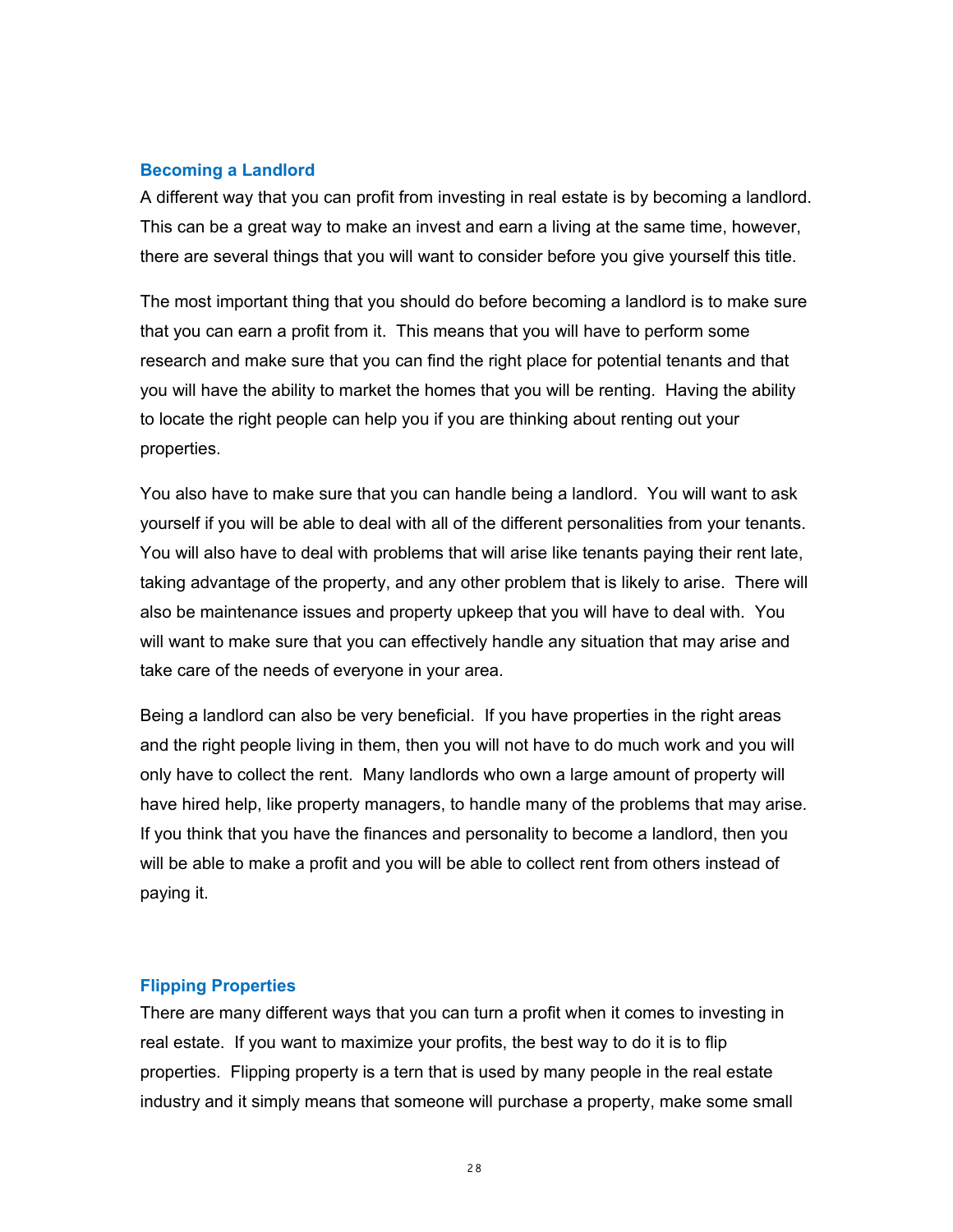#### <span id="page-27-1"></span>**Becoming a Landlord**

A different way that you can profit from investing in real estate is by becoming a landlord. This can be a great way to make an invest and earn a living at the same time, however, there are several things that you will want to consider before you give yourself this title.

The most important thing that you should do before becoming a landlord is to make sure that you can earn a profit from it. This means that you will have to perform some research and make sure that you can find the right place for potential tenants and that you will have the ability to market the homes that you will be renting. Having the ability to locate the right people can help you if you are thinking about renting out your properties.

You also have to make sure that you can handle being a landlord. You will want to ask yourself if you will be able to deal with all of the different personalities from your tenants. You will also have to deal with problems that will arise like tenants paying their rent late, taking advantage of the property, and any other problem that is likely to arise. There will also be maintenance issues and property upkeep that you will have to deal with. You will want to make sure that you can effectively handle any situation that may arise and take care of the needs of everyone in your area.

Being a landlord can also be very beneficial. If you have properties in the right areas and the right people living in them, then you will not have to do much work and you will only have to collect the rent. Many landlords who own a large amount of property will have hired help, like property managers, to handle many of the problems that may arise. If you think that you have the finances and personality to become a landlord, then you will be able to make a profit and you will be able to collect rent from others instead of paying it.

#### <span id="page-27-0"></span>**Flipping Properties**

There are many different ways that you can turn a profit when it comes to investing in real estate. If you want to maximize your profits, the best way to do it is to flip properties. Flipping property is a tern that is used by many people in the real estate industry and it simply means that someone will purchase a property, make some small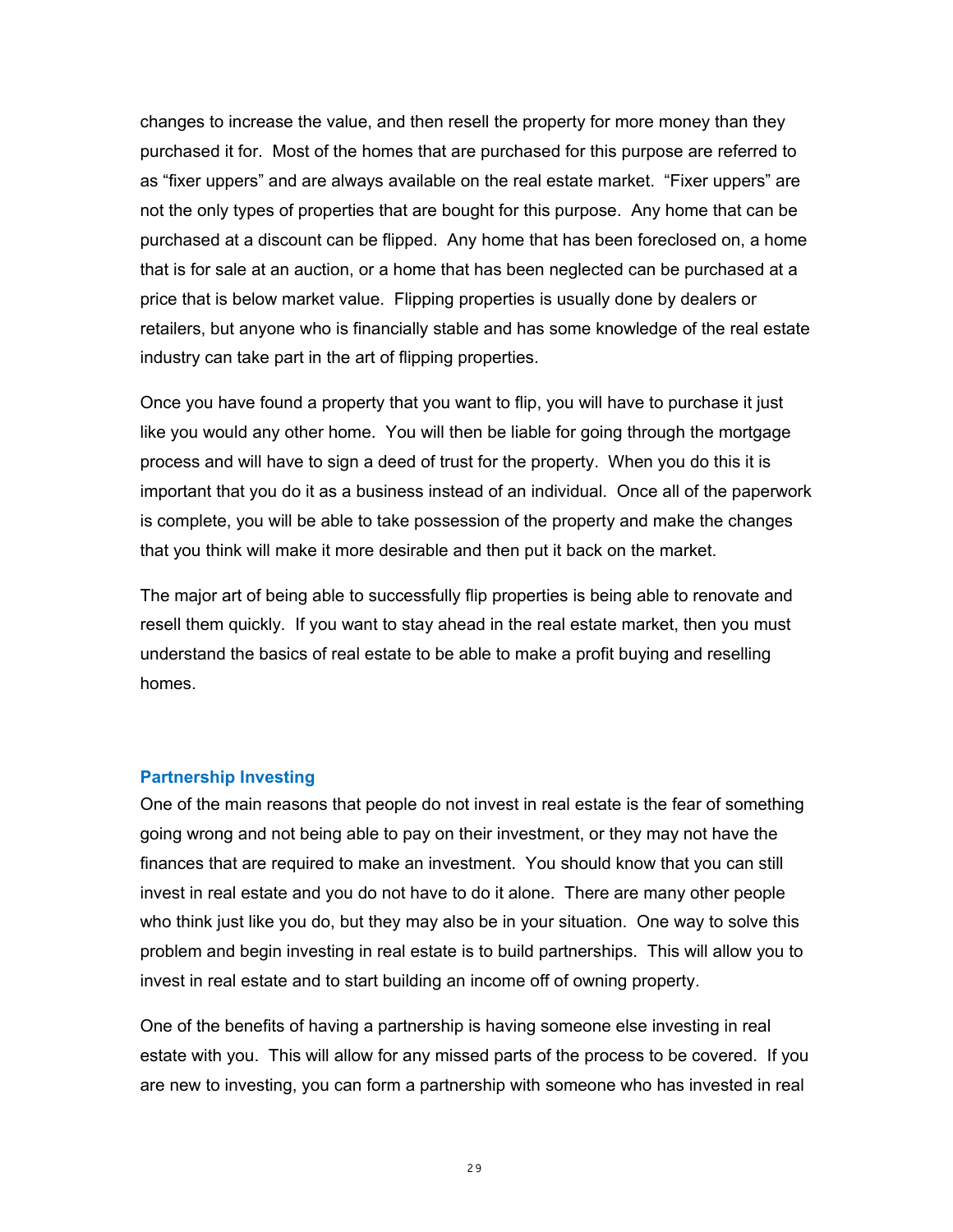changes to increase the value, and then resell the property for more money than they purchased it for. Most of the homes that are purchased for this purpose are referred to as "fixer uppers" and are always available on the real estate market. "Fixer uppers" are not the only types of properties that are bought for this purpose. Any home that can be purchased at a discount can be flipped. Any home that has been foreclosed on, a home that is for sale at an auction, or a home that has been neglected can be purchased at a price that is below market value. Flipping properties is usually done by dealers or retailers, but anyone who is financially stable and has some knowledge of the real estate industry can take part in the art of flipping properties.

Once you have found a property that you want to flip, you will have to purchase it just like you would any other home. You will then be liable for going through the mortgage process and will have to sign a deed of trust for the property. When you do this it is important that you do it as a business instead of an individual. Once all of the paperwork is complete, you will be able to take possession of the property and make the changes that you think will make it more desirable and then put it back on the market.

The major art of being able to successfully flip properties is being able to renovate and resell them quickly. If you want to stay ahead in the real estate market, then you must understand the basics of real estate to be able to make a profit buying and reselling homes.

#### <span id="page-28-0"></span>**Partnership Investing**

One of the main reasons that people do not invest in real estate is the fear of something going wrong and not being able to pay on their investment, or they may not have the finances that are required to make an investment. You should know that you can still invest in real estate and you do not have to do it alone. There are many other people who think just like you do, but they may also be in your situation. One way to solve this problem and begin investing in real estate is to build partnerships. This will allow you to invest in real estate and to start building an income off of owning property.

One of the benefits of having a partnership is having someone else investing in real estate with you. This will allow for any missed parts of the process to be covered. If you are new to investing, you can form a partnership with someone who has invested in real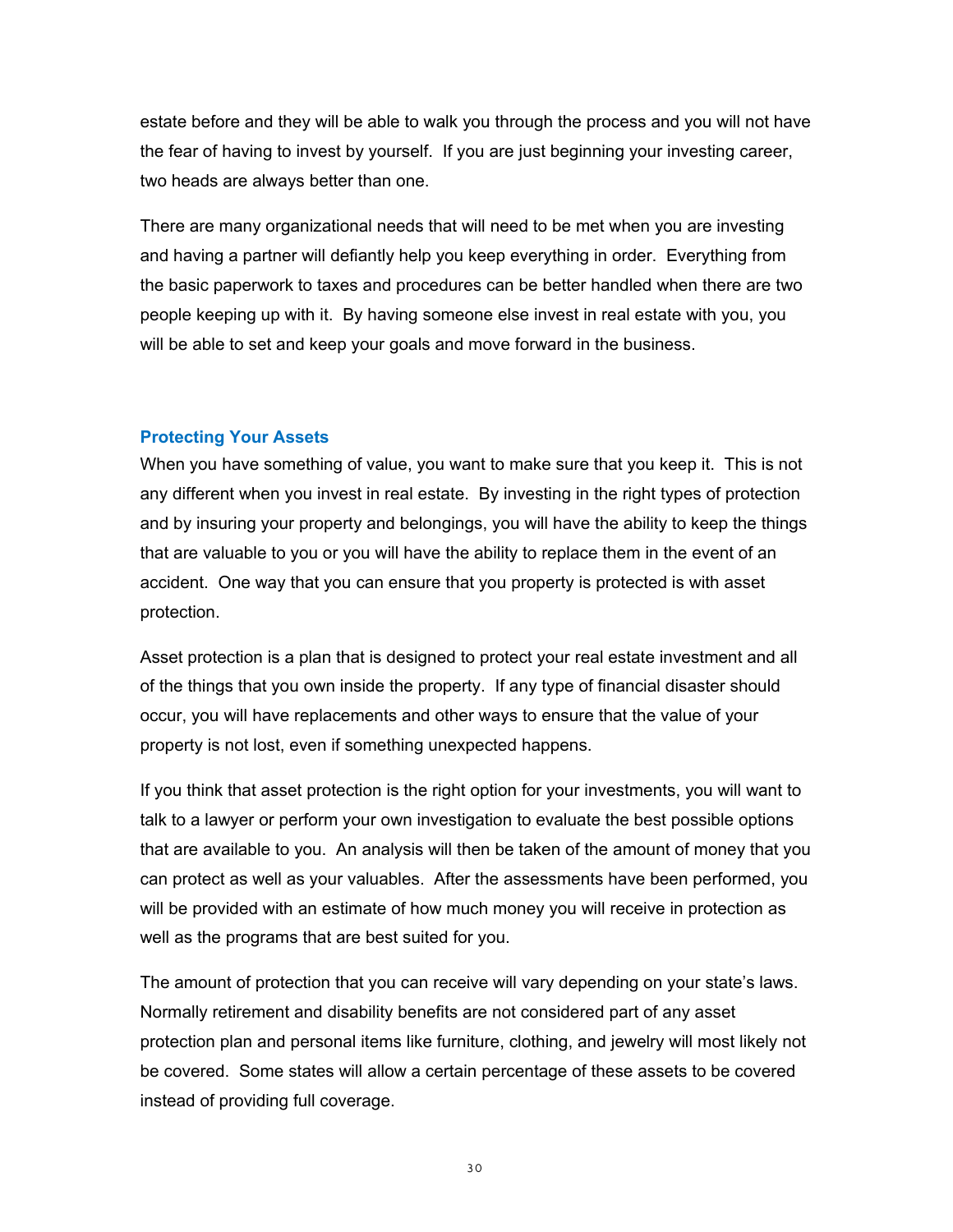estate before and they will be able to walk you through the process and you will not have the fear of having to invest by yourself. If you are just beginning your investing career, two heads are always better than one.

There are many organizational needs that will need to be met when you are investing and having a partner will defiantly help you keep everything in order. Everything from the basic paperwork to taxes and procedures can be better handled when there are two people keeping up with it. By having someone else invest in real estate with you, you will be able to set and keep your goals and move forward in the business.

#### <span id="page-29-0"></span>**Protecting Your Assets**

When you have something of value, you want to make sure that you keep it. This is not any different when you invest in real estate. By investing in the right types of protection and by insuring your property and belongings, you will have the ability to keep the things that are valuable to you or you will have the ability to replace them in the event of an accident. One way that you can ensure that you property is protected is with asset protection.

Asset protection is a plan that is designed to protect your real estate investment and all of the things that you own inside the property. If any type of financial disaster should occur, you will have replacements and other ways to ensure that the value of your property is not lost, even if something unexpected happens.

If you think that asset protection is the right option for your investments, you will want to talk to a lawyer or perform your own investigation to evaluate the best possible options that are available to you. An analysis will then be taken of the amount of money that you can protect as well as your valuables. After the assessments have been performed, you will be provided with an estimate of how much money you will receive in protection as well as the programs that are best suited for you.

The amount of protection that you can receive will vary depending on your state's laws. Normally retirement and disability benefits are not considered part of any asset protection plan and personal items like furniture, clothing, and jewelry will most likely not be covered. Some states will allow a certain percentage of these assets to be covered instead of providing full coverage.